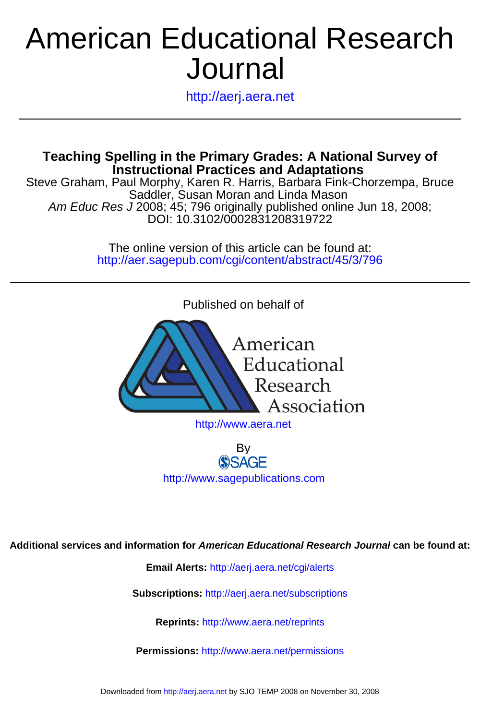# Journal American Educational Research

http://aerj.aera.net

# **Instructional Practices and Adaptations Teaching Spelling in the Primary Grades: A National Survey of**

DOI: 10.3102/0002831208319722 Am Educ Res J 2008; 45; 796 originally published online Jun 18, 2008; Saddler, Susan Moran and Linda Mason Steve Graham, Paul Morphy, Karen R. Harris, Barbara Fink-Chorzempa, Bruce

> http://aer.sagepub.com/cgi/content/abstract/45/3/796 The online version of this article can be found at:



By **SSAGE** http://www.sagepublications.com

**Additional services and information for American Educational Research Journal can be found at:**

**Email Alerts:** <http://aerj.aera.net/cgi/alerts>

**Subscriptions:** <http://aerj.aera.net/subscriptions>

**Reprints:** <http://www.aera.net/reprints>

**Permissions:** <http://www.aera.net/permissions>

Downloaded from [http://aerj.aera.net](http://aer.sagepub.com) by SJO TEMP 2008 on November 30, 2008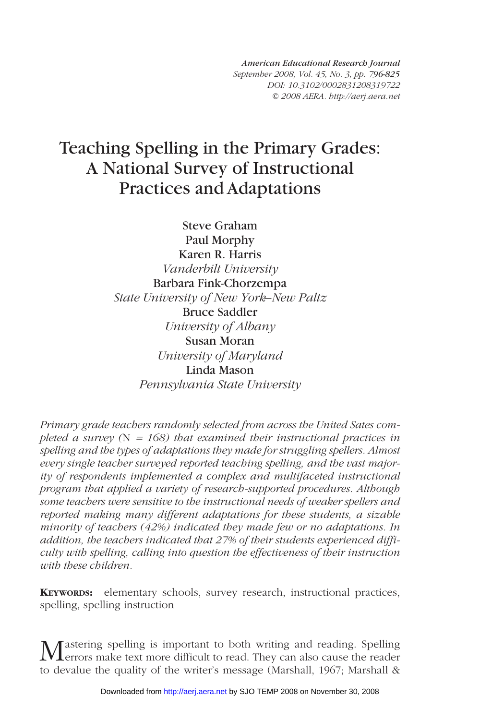*American Educational Research Journal September 2008, Vol. 45, No. 3, pp. 796-825 DOI: 10.3102/0002831208319722 © 2008 AERA. http://aerj.aera.net*

# Teaching Spelling in the Primary Grades: A National Survey of Instructional Practices and Adaptations

Steve Graham Paul Morphy Karen R. Harris *Vanderbilt University* Barbara Fink-Chorzempa *State University of New York–New Paltz* Bruce Saddler *University of Albany* Susan Moran *University of Maryland* Linda Mason *Pennsylvania State University*

*Primary grade teachers randomly selected from across the United Sates completed a survey (*N <sup>=</sup> *168) that examined their instructional practices in spelling and the types of adaptations they made for struggling spellers. Almost every single teacher surveyed reported teaching spelling, and the vast majority of respondents implemented a complex and multifaceted instructional program that applied a variety of research-supported procedures. Although some teachers were sensitive to the instructional needs of weaker spellers and reported making many different adaptations for these students, a sizable minority of teachers (42%) indicated they made few or no adaptations. In addition, the teachers indicated that 27% of their students experienced difficulty with spelling, calling into question the effectiveness of their instruction with these children.*

**KEYWORDS:** elementary schools, survey research, instructional practices, spelling, spelling instruction

Mastering spelling is important to both writing and reading. Spelling **L**errors make text more difficult to read. They can also cause the reader to devalue the quality of the writer's message (Marshall, 1967; Marshall &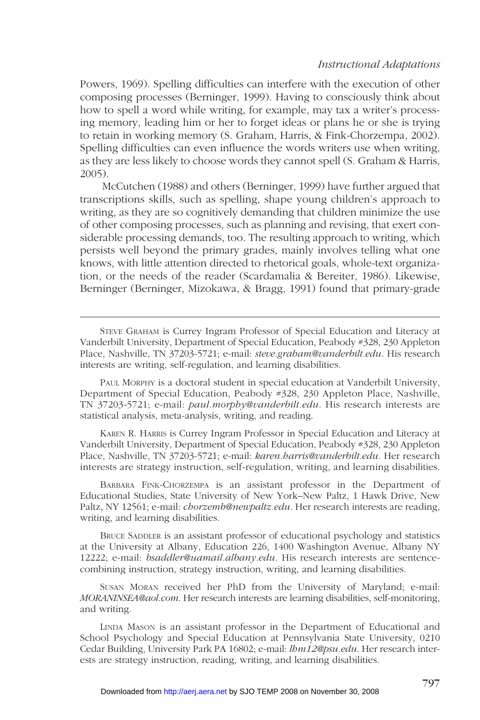Powers, 1969). Spelling difficulties can interfere with the execution of other composing processes (Berninger, 1999). Having to consciously think about how to spell a word while writing, for example, may tax a writer's processing memory, leading him or her to forget ideas or plans he or she is trying to retain in working memory (S. Graham, Harris, & Fink-Chorzempa, 2002). Spelling difficulties can even influence the words writers use when writing, as they are less likely to choose words they cannot spell (S. Graham & Harris, 2005).

McCutchen (1988) and others (Berninger, 1999) have further argued that transcriptions skills, such as spelling, shape young children's approach to writing, as they are so cognitively demanding that children minimize the use of other composing processes, such as planning and revising, that exert considerable processing demands, too. The resulting approach to writing, which persists well beyond the primary grades, mainly involves telling what one knows, with little attention directed to rhetorical goals, whole-text organization, or the needs of the reader (Scardamalia & Bereiter, 1986). Likewise, Berninger (Berninger, Mizokawa, & Bragg, 1991) found that primary-grade

PAUL MORPHY is a doctoral student in special education at Vanderbilt University, Department of Special Education, Peabody #328, 230 Appleton Place, Nashville, TN 37203-5721; e-mail: *paul.morphy@vanderbilt.edu*. His research interests are statistical analysis, meta-analysis, writing, and reading.

KAREN R. HARRIS is Currey Ingram Professor in Special Education and Literacy at Vanderbilt University, Department of Special Education, Peabody #328, 230 Appleton Place, Nashville, TN 37203-5721; e-mail: *karen.harris@vanderbilt.edu*. Her research interests are strategy instruction, self-regulation, writing, and learning disabilities.

BARBARA FINK-CHORZEMPA is an assistant professor in the Department of Educational Studies, State University of New York–New Paltz, 1 Hawk Drive, New Paltz, NY 12561; e-mail: *chorzemb@newpaltz.edu*. Her research interests are reading, writing, and learning disabilities.

BRUCE SADDLER is an assistant professor of educational psychology and statistics at the University at Albany, Education 226, 1400 Washington Avenue, Albany NY 12222; e-mail: *bsaddler@uamail.albany.edu*. His research interests are sentencecombining instruction, strategy instruction, writing, and learning disabilities.

SUSAN MORAN received her PhD from the University of Maryland; e-mail: *MORANINSEA@aol.com*. Her research interests are learning disabilities, self-monitoring, and writing.

LINDA MASON is an assistant professor in the Department of Educational and School Psychology and Special Education at Pennsylvania State University, 0210 Cedar Building, University Park PA 16802; e-mail: *lhm12@psu.edu*. Her research interests are strategy instruction, reading, writing, and learning disabilities.

STEVE GRAHAM is Currey Ingram Professor of Special Education and Literacy at Vanderbilt University, Department of Special Education, Peabody #328, 230 Appleton Place, Nashville, TN 37203-5721; e-mail: *steve.graham@vanderbilt.edu*. His research interests are writing, self-regulation, and learning disabilities.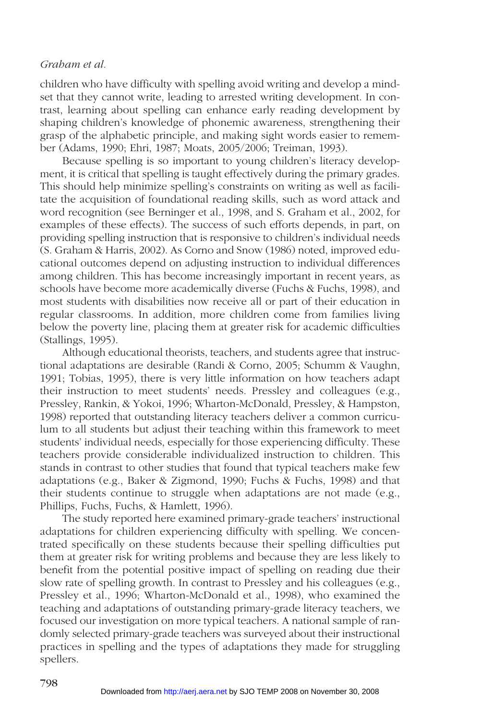children who have difficulty with spelling avoid writing and develop a mindset that they cannot write, leading to arrested writing development. In contrast, learning about spelling can enhance early reading development by shaping children's knowledge of phonemic awareness, strengthening their grasp of the alphabetic principle, and making sight words easier to remember (Adams, 1990; Ehri, 1987; Moats, 2005/2006; Treiman, 1993).

Because spelling is so important to young children's literacy development, it is critical that spelling is taught effectively during the primary grades. This should help minimize spelling's constraints on writing as well as facilitate the acquisition of foundational reading skills, such as word attack and word recognition (see Berninger et al., 1998, and S. Graham et al., 2002, for examples of these effects). The success of such efforts depends, in part, on providing spelling instruction that is responsive to children's individual needs (S. Graham & Harris, 2002). As Corno and Snow (1986) noted, improved educational outcomes depend on adjusting instruction to individual differences among children. This has become increasingly important in recent years, as schools have become more academically diverse (Fuchs & Fuchs, 1998), and most students with disabilities now receive all or part of their education in regular classrooms. In addition, more children come from families living below the poverty line, placing them at greater risk for academic difficulties (Stallings, 1995).

Although educational theorists, teachers, and students agree that instructional adaptations are desirable (Randi & Corno, 2005; Schumm & Vaughn, 1991; Tobias, 1995), there is very little information on how teachers adapt their instruction to meet students' needs. Pressley and colleagues (e.g., Pressley, Rankin, & Yokoi, 1996; Wharton-McDonald, Pressley, & Hampston, 1998) reported that outstanding literacy teachers deliver a common curriculum to all students but adjust their teaching within this framework to meet students' individual needs, especially for those experiencing difficulty. These teachers provide considerable individualized instruction to children. This stands in contrast to other studies that found that typical teachers make few adaptations (e.g., Baker & Zigmond, 1990; Fuchs & Fuchs, 1998) and that their students continue to struggle when adaptations are not made (e.g., Phillips, Fuchs, Fuchs, & Hamlett, 1996).

The study reported here examined primary-grade teachers' instructional adaptations for children experiencing difficulty with spelling. We concentrated specifically on these students because their spelling difficulties put them at greater risk for writing problems and because they are less likely to benefit from the potential positive impact of spelling on reading due their slow rate of spelling growth. In contrast to Pressley and his colleagues (e.g., Pressley et al., 1996; Wharton-McDonald et al., 1998), who examined the teaching and adaptations of outstanding primary-grade literacy teachers, we focused our investigation on more typical teachers. A national sample of randomly selected primary-grade teachers was surveyed about their instructional practices in spelling and the types of adaptations they made for struggling spellers.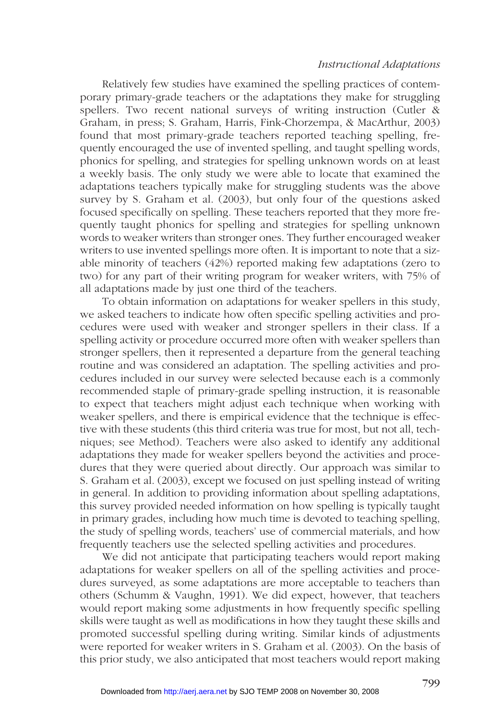Relatively few studies have examined the spelling practices of contemporary primary-grade teachers or the adaptations they make for struggling spellers. Two recent national surveys of writing instruction (Cutler & Graham, in press; S. Graham, Harris, Fink-Chorzempa, & MacArthur, 2003) found that most primary-grade teachers reported teaching spelling, frequently encouraged the use of invented spelling, and taught spelling words, phonics for spelling, and strategies for spelling unknown words on at least a weekly basis. The only study we were able to locate that examined the adaptations teachers typically make for struggling students was the above survey by S. Graham et al. (2003), but only four of the questions asked focused specifically on spelling. These teachers reported that they more frequently taught phonics for spelling and strategies for spelling unknown words to weaker writers than stronger ones. They further encouraged weaker writers to use invented spellings more often. It is important to note that a sizable minority of teachers (42%) reported making few adaptations (zero to two) for any part of their writing program for weaker writers, with 75% of all adaptations made by just one third of the teachers.

To obtain information on adaptations for weaker spellers in this study, we asked teachers to indicate how often specific spelling activities and procedures were used with weaker and stronger spellers in their class. If a spelling activity or procedure occurred more often with weaker spellers than stronger spellers, then it represented a departure from the general teaching routine and was considered an adaptation. The spelling activities and procedures included in our survey were selected because each is a commonly recommended staple of primary-grade spelling instruction, it is reasonable to expect that teachers might adjust each technique when working with weaker spellers, and there is empirical evidence that the technique is effective with these students (this third criteria was true for most, but not all, techniques; see Method). Teachers were also asked to identify any additional adaptations they made for weaker spellers beyond the activities and procedures that they were queried about directly. Our approach was similar to S. Graham et al. (2003), except we focused on just spelling instead of writing in general. In addition to providing information about spelling adaptations, this survey provided needed information on how spelling is typically taught in primary grades, including how much time is devoted to teaching spelling, the study of spelling words, teachers' use of commercial materials, and how frequently teachers use the selected spelling activities and procedures.

We did not anticipate that participating teachers would report making adaptations for weaker spellers on all of the spelling activities and procedures surveyed, as some adaptations are more acceptable to teachers than others (Schumm & Vaughn, 1991). We did expect, however, that teachers would report making some adjustments in how frequently specific spelling skills were taught as well as modifications in how they taught these skills and promoted successful spelling during writing. Similar kinds of adjustments were reported for weaker writers in S. Graham et al. (2003). On the basis of this prior study, we also anticipated that most teachers would report making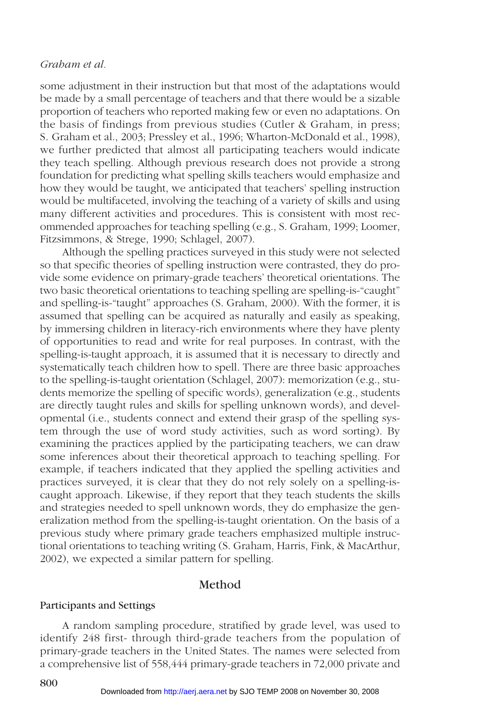some adjustment in their instruction but that most of the adaptations would be made by a small percentage of teachers and that there would be a sizable proportion of teachers who reported making few or even no adaptations. On the basis of findings from previous studies (Cutler & Graham, in press; S. Graham et al., 2003; Pressley et al., 1996; Wharton-McDonald et al., 1998), we further predicted that almost all participating teachers would indicate they teach spelling. Although previous research does not provide a strong foundation for predicting what spelling skills teachers would emphasize and how they would be taught, we anticipated that teachers' spelling instruction would be multifaceted, involving the teaching of a variety of skills and using many different activities and procedures. This is consistent with most recommended approaches for teaching spelling (e.g., S. Graham, 1999; Loomer, Fitzsimmons, & Strege, 1990; Schlagel, 2007).

Although the spelling practices surveyed in this study were not selected so that specific theories of spelling instruction were contrasted, they do provide some evidence on primary-grade teachers' theoretical orientations. The two basic theoretical orientations to teaching spelling are spelling-is-"caught" and spelling-is-"taught" approaches (S. Graham, 2000). With the former, it is assumed that spelling can be acquired as naturally and easily as speaking, by immersing children in literacy-rich environments where they have plenty of opportunities to read and write for real purposes. In contrast, with the spelling-is-taught approach, it is assumed that it is necessary to directly and systematically teach children how to spell. There are three basic approaches to the spelling-is-taught orientation (Schlagel, 2007): memorization (e.g., students memorize the spelling of specific words), generalization (e.g., students are directly taught rules and skills for spelling unknown words), and developmental (i.e., students connect and extend their grasp of the spelling system through the use of word study activities, such as word sorting). By examining the practices applied by the participating teachers, we can draw some inferences about their theoretical approach to teaching spelling. For example, if teachers indicated that they applied the spelling activities and practices surveyed, it is clear that they do not rely solely on a spelling-iscaught approach. Likewise, if they report that they teach students the skills and strategies needed to spell unknown words, they do emphasize the generalization method from the spelling-is-taught orientation. On the basis of a previous study where primary grade teachers emphasized multiple instructional orientations to teaching writing (S. Graham, Harris, Fink, & MacArthur, 2002), we expected a similar pattern for spelling.

#### Method

#### Participants and Settings

A random sampling procedure, stratified by grade level, was used to identify 248 first- through third-grade teachers from the population of primary-grade teachers in the United States. The names were selected from a comprehensive list of 558,444 primary-grade teachers in 72,000 private and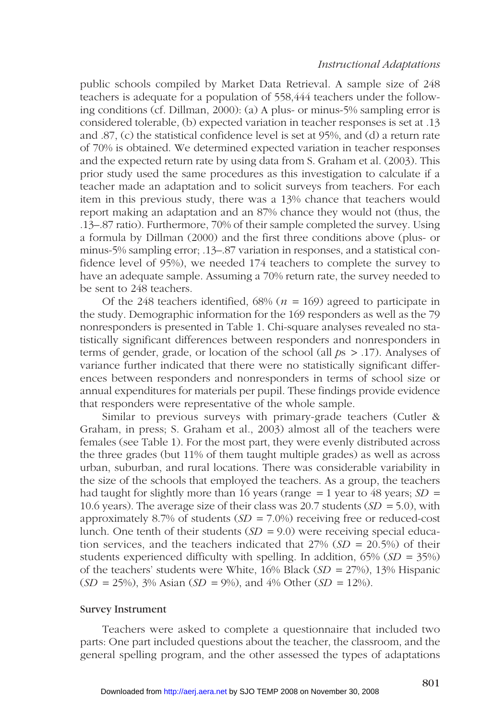public schools compiled by Market Data Retrieval. A sample size of 248 teachers is adequate for a population of 558,444 teachers under the following conditions (cf. Dillman, 2000): (a) A plus- or minus-5% sampling error is considered tolerable, (b) expected variation in teacher responses is set at .13 and .87, (c) the statistical confidence level is set at 95%, and (d) a return rate of 70% is obtained. We determined expected variation in teacher responses and the expected return rate by using data from S. Graham et al. (2003). This prior study used the same procedures as this investigation to calculate if a teacher made an adaptation and to solicit surveys from teachers. For each item in this previous study, there was a 13% chance that teachers would report making an adaptation and an 87% chance they would not (thus, the .13–.87 ratio). Furthermore, 70% of their sample completed the survey. Using a formula by Dillman (2000) and the first three conditions above (plus- or minus-5% sampling error; .13–.87 variation in responses, and a statistical confidence level of 95%), we needed 174 teachers to complete the survey to have an adequate sample. Assuming a 70% return rate, the survey needed to be sent to 248 teachers.

Of the 248 teachers identified,  $68\%$  ( $n = 169$ ) agreed to participate in the study. Demographic information for the 169 responders as well as the 79 nonresponders is presented in Table 1. Chi-square analyses revealed no statistically significant differences between responders and nonresponders in terms of gender, grade, or location of the school (all *p*s > .17). Analyses of variance further indicated that there were no statistically significant differences between responders and nonresponders in terms of school size or annual expenditures for materials per pupil. These findings provide evidence that responders were representative of the whole sample.

Similar to previous surveys with primary-grade teachers (Cutler & Graham, in press; S. Graham et al., 2003) almost all of the teachers were females (see Table 1). For the most part, they were evenly distributed across the three grades (but 11% of them taught multiple grades) as well as across urban, suburban, and rural locations. There was considerable variability in the size of the schools that employed the teachers. As a group, the teachers had taught for slightly more than 16 years (range  $= 1$  year to 48 years; *SD*  $=$ 10.6 years). The average size of their class was 20.7 students (*SD* = 5.0), with approximately 8.7% of students  $(SD = 7.0\%)$  receiving free or reduced-cost lunch. One tenth of their students  $(SD = 9.0)$  were receiving special education services, and the teachers indicated that 27% (*SD* = 20.5%) of their students experienced difficulty with spelling. In addition, 65% (*SD* = 35%) of the teachers' students were White, 16% Black (*SD* = 27%), 13% Hispanic (*SD* = 25%), 3% Asian (*SD* = 9%), and 4% Other (*SD* = 12%).

#### Survey Instrument

Teachers were asked to complete a questionnaire that included two parts: One part included questions about the teacher, the classroom, and the general spelling program, and the other assessed the types of adaptations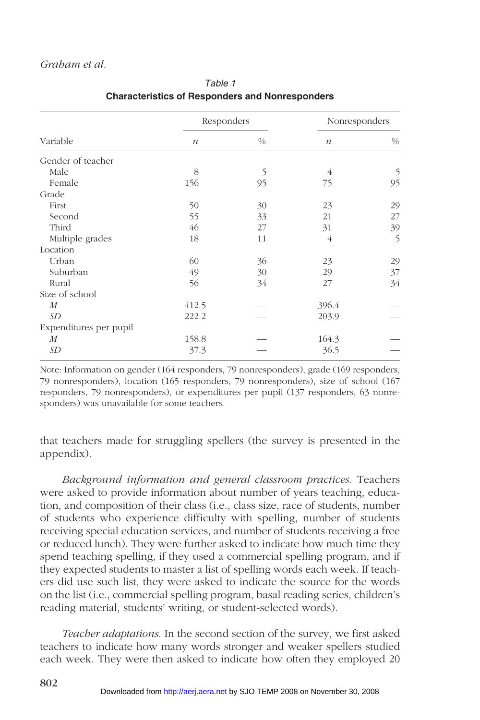|                        | Responders       |      | Nonresponders    |      |
|------------------------|------------------|------|------------------|------|
| Variable               | $\boldsymbol{n}$ | $\%$ | $\boldsymbol{n}$ | $\%$ |
| Gender of teacher      |                  |      |                  |      |
| Male                   | 8                | 5    | 4                | 5    |
| Female                 | 156              | 95   | 75               | 95   |
| Grade                  |                  |      |                  |      |
| First                  | 50               | 30   | 23               | 29   |
| Second                 | 55               | 33   | 21               | 27   |
| Third                  | 46               | 27   | 31               | 39   |
| Multiple grades        | 18               | 11   | 4                | 5    |
| Location               |                  |      |                  |      |
| Urban                  | 60               | 36   | 23               | 29   |
| Suburban               | 49               | 30   | 29               | 37   |
| Rural                  | 56               | 34   | 27               | 34   |
| Size of school         |                  |      |                  |      |
| $\boldsymbol{M}$       | 412.5            |      | 396.4            |      |
| SD                     | 222.2            |      | 203.9            |      |
| Expenditures per pupil |                  |      |                  |      |
| $\boldsymbol{M}$       | 158.8            |      | 164.3            |      |
| SD                     | 37.3             |      | 36.5             |      |

Table 1 **Characteristics of Responders and Nonresponders**

Note: Information on gender (164 responders, 79 nonresponders), grade (169 responders, 79 nonresponders), location (165 responders, 79 nonresponders), size of school (167 responders, 79 nonresponders), or expenditures per pupil (137 responders, 63 nonresponders) was unavailable for some teachers.

that teachers made for struggling spellers (the survey is presented in the appendix).

*Background information and general classroom practices.* Teachers were asked to provide information about number of years teaching, education, and composition of their class (i.e., class size, race of students, number of students who experience difficulty with spelling, number of students receiving special education services, and number of students receiving a free or reduced lunch). They were further asked to indicate how much time they spend teaching spelling, if they used a commercial spelling program, and if they expected students to master a list of spelling words each week. If teachers did use such list, they were asked to indicate the source for the words on the list (i.e., commercial spelling program, basal reading series, children's reading material, students' writing, or student-selected words).

*Teacher adaptations.* In the second section of the survey, we first asked teachers to indicate how many words stronger and weaker spellers studied each week. They were then asked to indicate how often they employed 20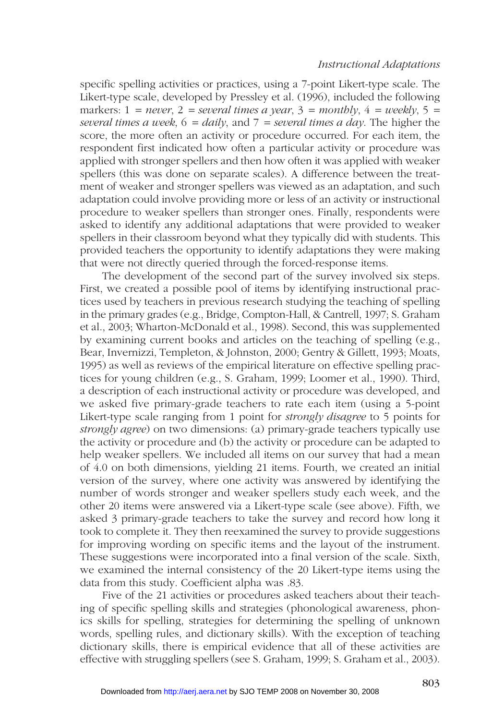specific spelling activities or practices, using a 7-point Likert-type scale. The Likert-type scale, developed by Pressley et al. (1996), included the following markers:  $1 = never$ ,  $2 = several times a year$ ,  $3 = monthly$ ,  $4 = weekly$ ,  $5 =$ *several times a week*, 6 = *daily*, and 7 = *several times a day*. The higher the score, the more often an activity or procedure occurred. For each item, the respondent first indicated how often a particular activity or procedure was applied with stronger spellers and then how often it was applied with weaker spellers (this was done on separate scales). A difference between the treatment of weaker and stronger spellers was viewed as an adaptation, and such adaptation could involve providing more or less of an activity or instructional procedure to weaker spellers than stronger ones. Finally, respondents were asked to identify any additional adaptations that were provided to weaker spellers in their classroom beyond what they typically did with students. This provided teachers the opportunity to identify adaptations they were making that were not directly queried through the forced-response items.

The development of the second part of the survey involved six steps. First, we created a possible pool of items by identifying instructional practices used by teachers in previous research studying the teaching of spelling in the primary grades (e.g., Bridge, Compton-Hall, & Cantrell, 1997; S. Graham et al., 2003; Wharton-McDonald et al., 1998). Second, this was supplemented by examining current books and articles on the teaching of spelling (e.g., Bear, Invernizzi, Templeton, & Johnston, 2000; Gentry & Gillett, 1993; Moats, 1995) as well as reviews of the empirical literature on effective spelling practices for young children (e.g., S. Graham, 1999; Loomer et al., 1990). Third, a description of each instructional activity or procedure was developed, and we asked five primary-grade teachers to rate each item (using a 5-point Likert-type scale ranging from 1 point for *strongly disagree* to 5 points for *strongly agree*) on two dimensions: (a) primary-grade teachers typically use the activity or procedure and (b) the activity or procedure can be adapted to help weaker spellers. We included all items on our survey that had a mean of 4.0 on both dimensions, yielding 21 items. Fourth, we created an initial version of the survey, where one activity was answered by identifying the number of words stronger and weaker spellers study each week, and the other 20 items were answered via a Likert-type scale (see above). Fifth, we asked 3 primary-grade teachers to take the survey and record how long it took to complete it. They then reexamined the survey to provide suggestions for improving wording on specific items and the layout of the instrument. These suggestions were incorporated into a final version of the scale. Sixth, we examined the internal consistency of the 20 Likert-type items using the data from this study. Coefficient alpha was .83.

Five of the 21 activities or procedures asked teachers about their teaching of specific spelling skills and strategies (phonological awareness, phonics skills for spelling, strategies for determining the spelling of unknown words, spelling rules, and dictionary skills). With the exception of teaching dictionary skills, there is empirical evidence that all of these activities are effective with struggling spellers (see S. Graham, 1999; S. Graham et al., 2003).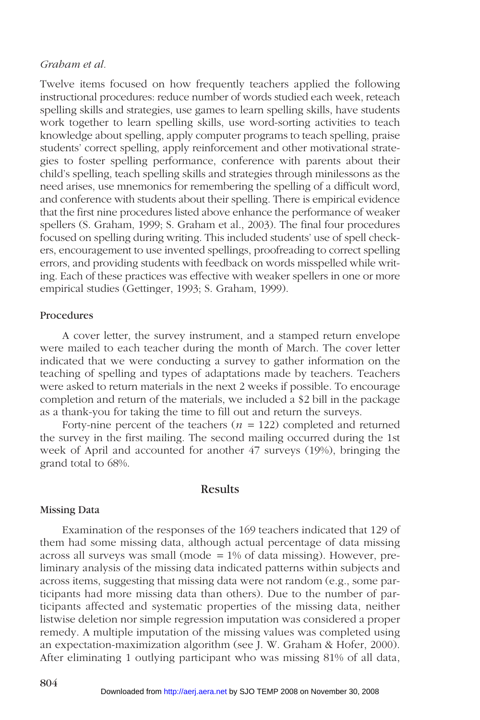Twelve items focused on how frequently teachers applied the following instructional procedures: reduce number of words studied each week, reteach spelling skills and strategies, use games to learn spelling skills, have students work together to learn spelling skills, use word-sorting activities to teach knowledge about spelling, apply computer programs to teach spelling, praise students' correct spelling, apply reinforcement and other motivational strategies to foster spelling performance, conference with parents about their child's spelling, teach spelling skills and strategies through minilessons as the need arises, use mnemonics for remembering the spelling of a difficult word, and conference with students about their spelling. There is empirical evidence that the first nine procedures listed above enhance the performance of weaker spellers (S. Graham, 1999; S. Graham et al., 2003). The final four procedures focused on spelling during writing. This included students' use of spell checkers, encouragement to use invented spellings, proofreading to correct spelling errors, and providing students with feedback on words misspelled while writing. Each of these practices was effective with weaker spellers in one or more empirical studies (Gettinger, 1993; S. Graham, 1999).

#### Procedures

A cover letter, the survey instrument, and a stamped return envelope were mailed to each teacher during the month of March. The cover letter indicated that we were conducting a survey to gather information on the teaching of spelling and types of adaptations made by teachers. Teachers were asked to return materials in the next 2 weeks if possible. To encourage completion and return of the materials, we included a \$2 bill in the package as a thank-you for taking the time to fill out and return the surveys.

Forty-nine percent of the teachers  $(n = 122)$  completed and returned the survey in the first mailing. The second mailing occurred during the 1st week of April and accounted for another 47 surveys (19%), bringing the grand total to 68%.

## Results

#### Missing Data

Examination of the responses of the 169 teachers indicated that 129 of them had some missing data, although actual percentage of data missing across all surveys was small (mode  $= 1\%$  of data missing). However, preliminary analysis of the missing data indicated patterns within subjects and across items, suggesting that missing data were not random (e.g., some participants had more missing data than others). Due to the number of participants affected and systematic properties of the missing data, neither listwise deletion nor simple regression imputation was considered a proper remedy. A multiple imputation of the missing values was completed using an expectation-maximization algorithm (see J. W. Graham & Hofer, 2000). After eliminating 1 outlying participant who was missing 81% of all data,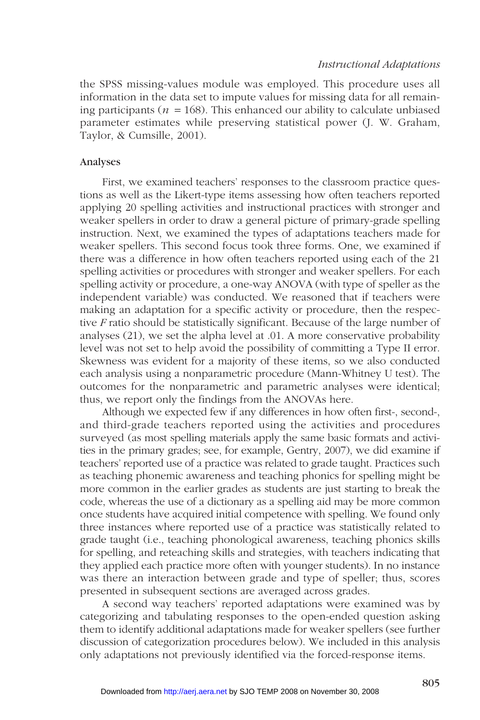the SPSS missing-values module was employed. This procedure uses all information in the data set to impute values for missing data for all remaining participants ( $n = 168$ ). This enhanced our ability to calculate unbiased parameter estimates while preserving statistical power (J. W. Graham, Taylor, & Cumsille, 2001).

#### Analyses

First, we examined teachers' responses to the classroom practice questions as well as the Likert-type items assessing how often teachers reported applying 20 spelling activities and instructional practices with stronger and weaker spellers in order to draw a general picture of primary-grade spelling instruction. Next, we examined the types of adaptations teachers made for weaker spellers. This second focus took three forms. One, we examined if there was a difference in how often teachers reported using each of the 21 spelling activities or procedures with stronger and weaker spellers. For each spelling activity or procedure, a one-way ANOVA (with type of speller as the independent variable) was conducted. We reasoned that if teachers were making an adaptation for a specific activity or procedure, then the respective *F* ratio should be statistically significant. Because of the large number of analyses (21), we set the alpha level at .01. A more conservative probability level was not set to help avoid the possibility of committing a Type II error. Skewness was evident for a majority of these items, so we also conducted each analysis using a nonparametric procedure (Mann-Whitney U test). The outcomes for the nonparametric and parametric analyses were identical; thus, we report only the findings from the ANOVAs here.

Although we expected few if any differences in how often first-, second-, and third-grade teachers reported using the activities and procedures surveyed (as most spelling materials apply the same basic formats and activities in the primary grades; see, for example, Gentry, 2007), we did examine if teachers' reported use of a practice was related to grade taught. Practices such as teaching phonemic awareness and teaching phonics for spelling might be more common in the earlier grades as students are just starting to break the code, whereas the use of a dictionary as a spelling aid may be more common once students have acquired initial competence with spelling. We found only three instances where reported use of a practice was statistically related to grade taught (i.e., teaching phonological awareness, teaching phonics skills for spelling, and reteaching skills and strategies, with teachers indicating that they applied each practice more often with younger students). In no instance was there an interaction between grade and type of speller; thus, scores presented in subsequent sections are averaged across grades.

A second way teachers' reported adaptations were examined was by categorizing and tabulating responses to the open-ended question asking them to identify additional adaptations made for weaker spellers (see further discussion of categorization procedures below). We included in this analysis only adaptations not previously identified via the forced-response items.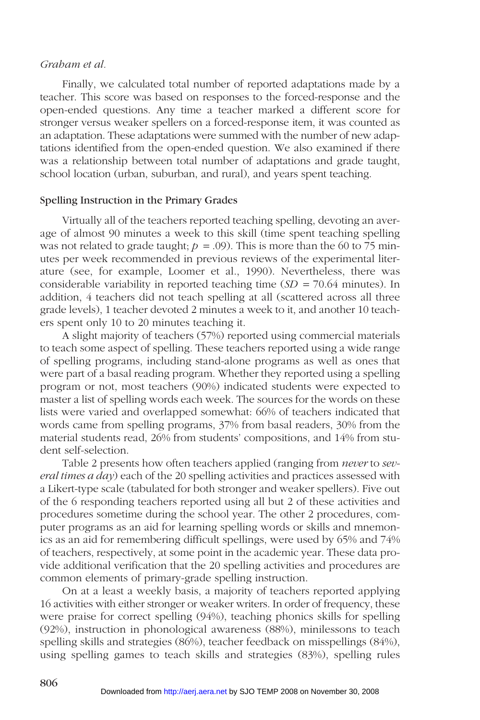Finally, we calculated total number of reported adaptations made by a teacher. This score was based on responses to the forced-response and the open-ended questions. Any time a teacher marked a different score for stronger versus weaker spellers on a forced-response item, it was counted as an adaptation. These adaptations were summed with the number of new adaptations identified from the open-ended question. We also examined if there was a relationship between total number of adaptations and grade taught, school location (urban, suburban, and rural), and years spent teaching.

#### Spelling Instruction in the Primary Grades

Virtually all of the teachers reported teaching spelling, devoting an average of almost 90 minutes a week to this skill (time spent teaching spelling was not related to grade taught;  $p = .09$ ). This is more than the 60 to 75 minutes per week recommended in previous reviews of the experimental literature (see, for example, Loomer et al., 1990). Nevertheless, there was considerable variability in reported teaching time (*SD* = 70.64 minutes). In addition, 4 teachers did not teach spelling at all (scattered across all three grade levels), 1 teacher devoted 2 minutes a week to it, and another 10 teachers spent only 10 to 20 minutes teaching it.

A slight majority of teachers (57%) reported using commercial materials to teach some aspect of spelling. These teachers reported using a wide range of spelling programs, including stand-alone programs as well as ones that were part of a basal reading program. Whether they reported using a spelling program or not, most teachers (90%) indicated students were expected to master a list of spelling words each week. The sources for the words on these lists were varied and overlapped somewhat: 66% of teachers indicated that words came from spelling programs, 37% from basal readers, 30% from the material students read, 26% from students' compositions, and 14% from student self-selection.

Table 2 presents how often teachers applied (ranging from *never* to *several times a day*) each of the 20 spelling activities and practices assessed with a Likert-type scale (tabulated for both stronger and weaker spellers). Five out of the 6 responding teachers reported using all but 2 of these activities and procedures sometime during the school year. The other 2 procedures, computer programs as an aid for learning spelling words or skills and mnemonics as an aid for remembering difficult spellings, were used by 65% and 74% of teachers, respectively, at some point in the academic year. These data provide additional verification that the 20 spelling activities and procedures are common elements of primary-grade spelling instruction.

On at a least a weekly basis, a majority of teachers reported applying 16 activities with either stronger or weaker writers. In order of frequency, these were praise for correct spelling (94%), teaching phonics skills for spelling (92%), instruction in phonological awareness (88%), minilessons to teach spelling skills and strategies (86%), teacher feedback on misspellings (84%), using spelling games to teach skills and strategies (83%), spelling rules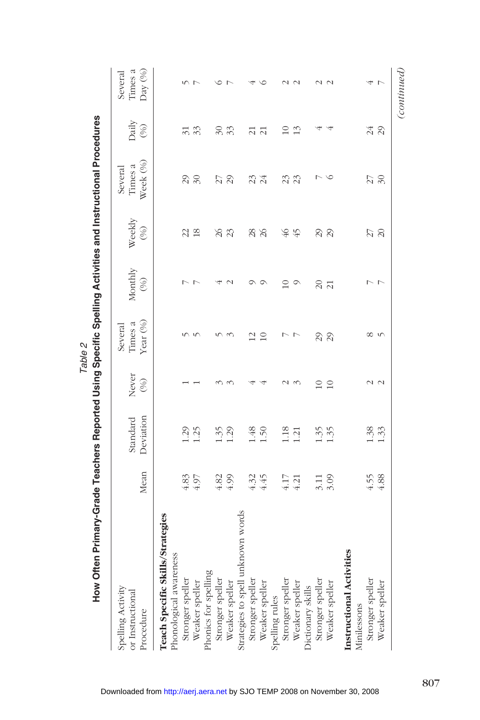| How Often Primary-Grade Teachers Reported Using Specific Spelling Activities and Instructional Procedures |      |                       |               |                                           |                 |                 |                                |                       |                                           |
|-----------------------------------------------------------------------------------------------------------|------|-----------------------|---------------|-------------------------------------------|-----------------|-----------------|--------------------------------|-----------------------|-------------------------------------------|
| Spelling Activity<br>or Instructional<br>Procedure                                                        | Mean | Deviation<br>Standard | Never<br>(%)  | Year <sub>(%)</sub><br>Times a<br>Several | Monthly<br>(%)  | Weekly<br>(%)   | Week (%)<br>Times a<br>Several | Daily<br>(%)          | Times a<br>$\mathrm{Day}~(\%)$<br>Several |
| Teach Specific Skills/Strategies                                                                          |      |                       |               |                                           |                 |                 |                                |                       |                                           |
| Phonological awareness                                                                                    |      |                       |               |                                           |                 |                 |                                |                       |                                           |
| Stronger speller                                                                                          | 4.83 |                       |               | S                                         |                 | 22              | 29                             | 31                    | v                                         |
| Weaker speller<br>Phonics for spelling                                                                    | 4.97 | 1.29                  |               | S                                         | L               | $\frac{8}{2}$   | $\delta$ <sup>0</sup>          | 33                    | г                                         |
|                                                                                                           |      |                       |               |                                           |                 |                 |                                |                       |                                           |
| Stronger speller                                                                                          | 4.82 | 1.35                  |               |                                           |                 | $\%$            | 27                             | $\delta$ <sup>0</sup> |                                           |
| Weaker speller                                                                                            | 4.99 | 1.29                  |               | S                                         |                 | 23              | 29                             | 33                    | ľ                                         |
| Strategies to spell unknown words                                                                         |      |                       |               |                                           |                 |                 |                                |                       |                                           |
|                                                                                                           | 4.32 | 1.48                  |               | $\overline{c}$                            | ⌒               | $^{8}$          | 23                             | $\overline{z}$        |                                           |
| Stronger speller<br>Weaker speller                                                                        | 4.45 | 1.50                  |               | $\supseteq$                               | ⊙               | $\delta$        | 24                             | 21                    |                                           |
| Spelling rules                                                                                            |      |                       |               |                                           |                 |                 |                                |                       |                                           |
|                                                                                                           | 4.17 | 1.18                  | $\sim$        | ↖                                         | $\overline{10}$ | $\frac{1}{2}$   | 23                             | $\Xi$                 | $\sim$                                    |
| Stronger speller<br>Weaker speller<br>Dictionary skills                                                   | 4.21 | 1.21                  | $\sim$        | ↖                                         | $\circ$         | 45              | 23                             | 13                    | $\sim$                                    |
|                                                                                                           |      |                       |               |                                           |                 |                 |                                |                       |                                           |
| Stronger speller                                                                                          | 3.11 | 1.35                  | $\supseteq$   | 29                                        | $\approx$       | 29              | $\sim$ 0                       |                       | $\mathcal{L}$                             |
| Weaker speller                                                                                            | 3.09 | 1.35                  | 10            |                                           | 21              |                 |                                |                       | $\mathbf{\sim}$                           |
| <b>Instructional Activities</b><br>Minilessons                                                            |      |                       |               |                                           |                 |                 |                                |                       |                                           |
| Stronger speller                                                                                          | 4.55 | 1.38                  |               | ∞                                         | ↖               | $\frac{27}{20}$ |                                | 24                    |                                           |
| Weaker speller                                                                                            | 4.88 | 1.33                  | $\sim$ $\sim$ | $\sqrt{2}$                                | $\Gamma$        |                 | $\frac{27}{30}$                | 29                    |                                           |

Table 2<br>a Specific Spelling Activities ad Hein 5

807

*(continued)*

 $\label{eq:constrained} (continued)$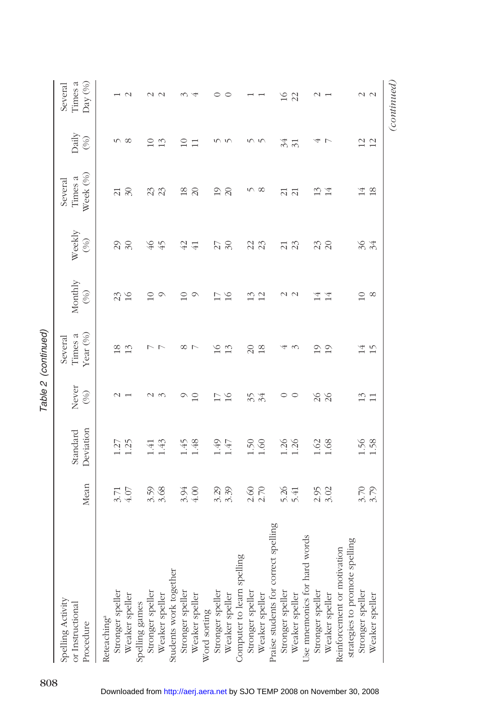| 808 |                                                      |                |                       |                  | Table 2 (continued)               |                           |                       |                                |                 |                               |
|-----|------------------------------------------------------|----------------|-----------------------|------------------|-----------------------------------|---------------------------|-----------------------|--------------------------------|-----------------|-------------------------------|
|     | Spelling Activity<br>or Instructional<br>Procedure   | Mean           | Deviation<br>Standard | Never<br>$\odot$ | Year $(\%)$<br>Times a<br>Several | Monthly<br>$\circledcirc$ | Weekly<br>$\circledS$ | Week (%)<br>Times a<br>Several | Daily<br>(%)    | Times a<br>Day (%)<br>Several |
|     | Reteaching <sup>a</sup>                              |                |                       |                  |                                   |                           |                       |                                |                 |                               |
|     | Stronger speller                                     |                |                       | ∾ ⊳              | $\frac{8}{2}$                     | 23                        |                       | $\overline{c}$                 |                 |                               |
|     | Weaker speller                                       | $3.71$<br>4.07 | $1.27$<br>$1.25$      |                  | 13                                | 16                        | $\frac{29}{30}$       | $\delta$                       | 5<br>3          | $\mathcal{L}$                 |
|     | Spelling games<br>Stronger speller<br>Weaker speller |                |                       |                  |                                   |                           |                       |                                |                 |                               |
|     |                                                      | 3.59           | 1.41                  | $\sim$           | $\overline{\phantom{0}}$          | $\overline{10}$           | 46                    |                                | $\supseteq$     | $\mathcal{L}$                 |
|     |                                                      | 3.68           | 1.43                  |                  | $\overline{ }$                    | $\circ$                   | 45                    | 23                             | 13              | $\mathcal{L}$                 |
|     | đ<br>Students work togeth                            |                |                       |                  |                                   |                           |                       |                                |                 |                               |
|     | Stronger speller                                     | 3.94           | 1.45                  |                  | $^{\circ}$                        | $\overline{10}$           | 42                    | $\overline{18}$                | $\supseteq$     | $\infty$                      |
|     | Weaker speller                                       | 4.00           | 1.48                  | $\frac{1}{10}$   | $\overline{ }$                    | $\circ$                   | 41                    | $\Omega$                       | 日               | ₹                             |
|     | Word sorting                                         |                |                       |                  |                                   |                           |                       |                                |                 |                               |
|     | Stronger speller                                     | 3.29           | 1.49                  | $\Box$           | $\geq$                            | $\Box$                    |                       | $\overline{1}$                 | S               | 0                             |
|     | Weaker speller                                       | 3.39           | 1.47                  | 16               | 13                                | $\overline{16}$           | $\frac{27}{30}$       | $\gtrsim$                      | S               | $\circ$                       |
|     | Computer to learn spelling                           |                |                       |                  |                                   |                           |                       |                                |                 |                               |
|     | Stronger speller                                     | 2.60           | 1.50                  | 35               | $\Omega$                          | 13                        |                       | M                              |                 |                               |
|     | Weaker speller                                       | 2.70           | $1.60\,$              | 34               | $\frac{8}{2}$                     | 12                        | $\frac{2}{3}$         | $\infty$                       | r w             |                               |
|     | Praise students for correct spelling                 |                |                       |                  |                                   |                           |                       |                                |                 |                               |
|     | Stronger speller                                     | 5.26           | $1.26\,$              | $\circ$          |                                   | $\sim$ $\sim$             |                       | $\frac{1}{21}$                 | 34              | $\geq$                        |
|     | Weaker speller                                       | 5.41           | 1.26                  | $\circ$          | S                                 |                           | $\frac{21}{23}$       |                                | $\overline{31}$ | 22                            |
|     | Use mnemonics for hard words                         |                |                       |                  |                                   |                           |                       |                                |                 |                               |
|     | Stronger speller                                     | 2.95           | 1.62                  | $rac{26}{26}$    | $\overline{1}$                    | $^{14}$                   | 23                    | $13 \frac{1}{4}$               | ₹               | ٢                             |
|     | Weaker speller                                       | 3.02           | 1.68                  |                  | $10$                              | 14                        |                       |                                | $\overline{ }$  |                               |
|     | Reinforcement or motivation                          |                |                       |                  |                                   |                           |                       |                                |                 |                               |
|     | strategies to promote spelling                       |                |                       |                  |                                   |                           |                       |                                |                 |                               |
|     | Stronger speller                                     | 3.70           | 1.56                  | $13$             | 14                                | $\overline{10}$           | $rac{36}{34}$         | 14                             | $\frac{2}{12}$  | $\sim$ $\sim$                 |
|     | Weaker speller                                       | 3.79           | 1.58                  | $\Box$           | 15                                | $\infty$                  |                       | $18$                           |                 |                               |
|     |                                                      |                |                       |                  |                                   |                           |                       |                                |                 | (continued)                   |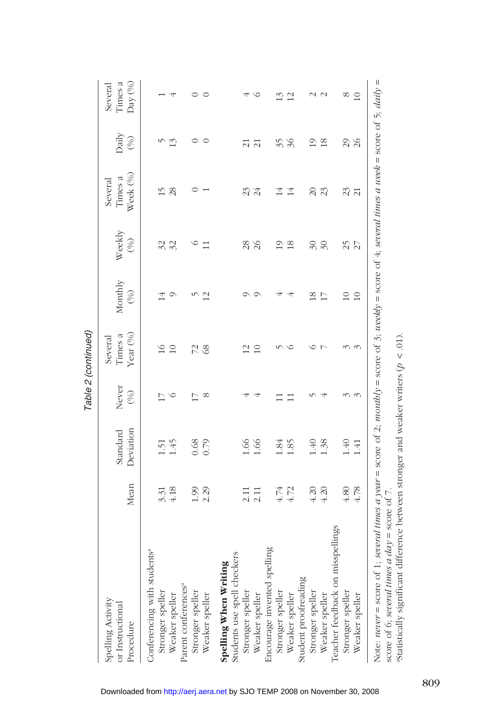|                                                                                                                                                    |                |                       |                   | Table 2 (continued)                       |                           |                |                                |                |                                        |
|----------------------------------------------------------------------------------------------------------------------------------------------------|----------------|-----------------------|-------------------|-------------------------------------------|---------------------------|----------------|--------------------------------|----------------|----------------------------------------|
| Spelling Activity<br>or Instructional<br>Procedure                                                                                                 | Mean           | Deviation<br>Standard | Never<br>(%)      | Year <sup>(%)</sup><br>Times a<br>Several | Monthly<br>$\circledcirc$ | Weekly<br>(%)  | Week (%)<br>Times a<br>Several | Daily<br>(%)   | Times a<br>$\text{Day}(\%)$<br>Several |
| Conferencing with students <sup>a</sup><br>Stronger speller                                                                                        | $3.31$<br>4.18 | 1.51<br>1.45          | $\circ$<br>$\Box$ | $\geq$<br>$10$                            | $\circ$<br>14             | 32             | 28<br>15                       | 13             | 4                                      |
| Parent conferences <sup>a</sup><br>Stronger speller<br>Weaker speller                                                                              |                |                       | $\overline{17}$   |                                           | N                         | $\circ$        |                                | $\circ$        | 0                                      |
| Weaker speller                                                                                                                                     | 1.99<br>2.29   | 0.59                  | 8                 | 78                                        | $\overline{c}$            | 급              |                                | $\circ$        | $\circ$                                |
| Students use spell checkers<br>Spelling When Writing                                                                                               |                |                       |                   |                                           |                           |                |                                |                |                                        |
| Stronger speller                                                                                                                                   | 2.11           | 1.66                  |                   |                                           | $\circ$                   | 28             | 234                            | $\Xi$          | 4                                      |
| Weaker speller                                                                                                                                     | 2.11           | 1.66                  |                   | $\overline{10}$                           | $\circ$                   | $\delta$       |                                | 21             | $\circ$                                |
| Encourage invented spelling                                                                                                                        |                |                       |                   |                                           |                           |                |                                |                |                                        |
| Stronger speller                                                                                                                                   | 4.74           | 1.84                  | $\Xi$             |                                           |                           | $\overline{1}$ | 14                             | 35             |                                        |
| Weaker speller                                                                                                                                     | 4.72           | 1.85                  | $\Box$            | ╰⊂                                        |                           | $\frac{8}{18}$ | 14                             | 36             | $^{12}$                                |
|                                                                                                                                                    |                |                       |                   |                                           |                           |                |                                |                |                                        |
|                                                                                                                                                    | 4.20           | 1.40                  |                   |                                           | $\frac{8}{2}$             | $rac{30}{20}$  |                                | $\overline{1}$ |                                        |
| Student proofreading<br>Stronger speller<br>Weaker speller                                                                                         | 4.20           | 1.38                  |                   |                                           | $\Box$                    |                | $\frac{20}{23}$                | $\frac{8}{2}$  | $\sim$                                 |
| misspellings<br>Teacher feedback on                                                                                                                |                |                       |                   |                                           |                           |                |                                |                |                                        |
| Stronger speller                                                                                                                                   | 4.80           | $1.40\,$              | S                 | S                                         | $\supseteq$               | 25             | $\frac{23}{21}$                | 26             | $^{\circ}$                             |
| Weaker speller                                                                                                                                     | 4.78           | 1.41                  | $\sim$            | $\mathcal{S}$                             | 10                        |                |                                |                | $\overline{10}$                        |
| Note: never = score of 1; several times a year = score of 2; monthly = score of 3; weekly = score of 4; several times a week = score of 5; daily = |                |                       |                   |                                           |                           |                |                                |                |                                        |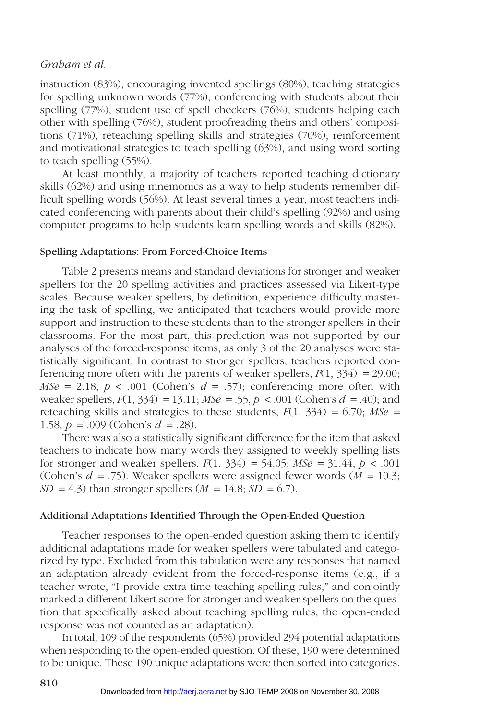instruction (83%), encouraging invented spellings (80%), teaching strategies for spelling unknown words (77%), conferencing with students about their spelling (77%), student use of spell checkers (76%), students helping each other with spelling (76%), student proofreading theirs and others' compositions (71%), reteaching spelling skills and strategies (70%), reinforcement and motivational strategies to teach spelling (63%), and using word sorting to teach spelling (55%).

At least monthly, a majority of teachers reported teaching dictionary skills (62%) and using mnemonics as a way to help students remember difficult spelling words (56%). At least several times a year, most teachers indicated conferencing with parents about their child's spelling (92%) and using computer programs to help students learn spelling words and skills (82%).

#### Spelling Adaptations: From Forced-Choice Items

Table 2 presents means and standard deviations for stronger and weaker spellers for the 20 spelling activities and practices assessed via Likert-type scales. Because weaker spellers, by definition, experience difficulty mastering the task of spelling, we anticipated that teachers would provide more support and instruction to these students than to the stronger spellers in their classrooms. For the most part, this prediction was not supported by our analyses of the forced-response items, as only 3 of the 20 analyses were statistically significant. In contrast to stronger spellers, teachers reported conferencing more often with the parents of weaker spellers,  $F(1, 334) = 29.00$ ;  $MSe = 2.18$ ,  $p < .001$  (Cohen's  $d = .57$ ); conferencing more often with weaker spellers,  $F(1, 334) = 13.11$ ;  $MSe = .55$ ,  $p < .001$  (Cohen's  $d = .40$ ); and reteaching skills and strategies to these students,  $F(1, 334) = 6.70$ ;  $MSe =$ 1.58, *p* = .009 (Cohen's *d* = .28).

There was also a statistically significant difference for the item that asked teachers to indicate how many words they assigned to weekly spelling lists for stronger and weaker spellers,  $F(1, 334) = 54.05$ ;  $MSe = 31.44$ ,  $p < .001$ (Cohen's  $d = .75$ ). Weaker spellers were assigned fewer words  $(M = 10.3;$  $SD = 4.3$ ) than stronger spellers ( $M = 14.8$ ;  $SD = 6.7$ ).

#### Additional Adaptations Identified Through the Open-Ended Question

Teacher responses to the open-ended question asking them to identify additional adaptations made for weaker spellers were tabulated and categorized by type. Excluded from this tabulation were any responses that named an adaptation already evident from the forced-response items (e.g., if a teacher wrote, "I provide extra time teaching spelling rules," and conjointly marked a different Likert score for stronger and weaker spellers on the question that specifically asked about teaching spelling rules, the open-ended response was not counted as an adaptation).

In total, 109 of the respondents (65%) provided 294 potential adaptations when responding to the open-ended question. Of these, 190 were determined to be unique. These 190 unique adaptations were then sorted into categories.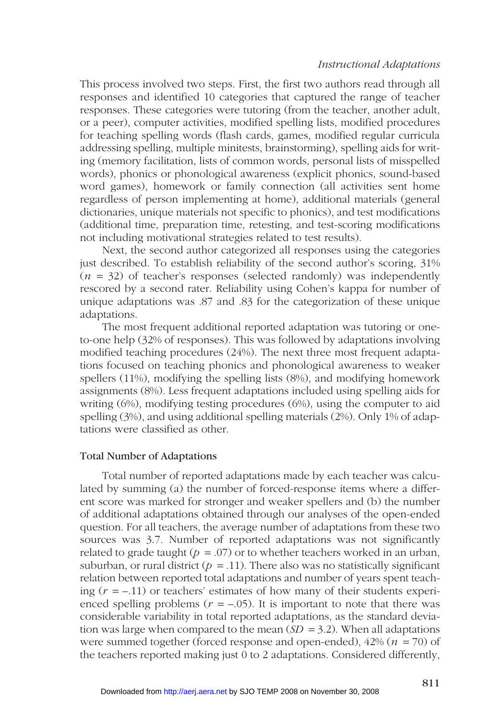This process involved two steps. First, the first two authors read through all responses and identified 10 categories that captured the range of teacher responses. These categories were tutoring (from the teacher, another adult, or a peer), computer activities, modified spelling lists, modified procedures for teaching spelling words (flash cards, games, modified regular curricula addressing spelling, multiple minitests, brainstorming), spelling aids for writing (memory facilitation, lists of common words, personal lists of misspelled words), phonics or phonological awareness (explicit phonics, sound-based word games), homework or family connection (all activities sent home regardless of person implementing at home), additional materials (general dictionaries, unique materials not specific to phonics), and test modifications (additional time, preparation time, retesting, and test-scoring modifications not including motivational strategies related to test results).

Next, the second author categorized all responses using the categories just described. To establish reliability of the second author's scoring, 31%  $(n = 32)$  of teacher's responses (selected randomly) was independently rescored by a second rater. Reliability using Cohen's kappa for number of unique adaptations was .87 and .83 for the categorization of these unique adaptations.

The most frequent additional reported adaptation was tutoring or oneto-one help (32% of responses). This was followed by adaptations involving modified teaching procedures (24%). The next three most frequent adaptations focused on teaching phonics and phonological awareness to weaker spellers (11%), modifying the spelling lists (8%), and modifying homework assignments (8%). Less frequent adaptations included using spelling aids for writing (6%), modifying testing procedures (6%), using the computer to aid spelling (3%), and using additional spelling materials (2%). Only 1% of adaptations were classified as other.

#### Total Number of Adaptations

Total number of reported adaptations made by each teacher was calculated by summing (a) the number of forced-response items where a different score was marked for stronger and weaker spellers and (b) the number of additional adaptations obtained through our analyses of the open-ended question. For all teachers, the average number of adaptations from these two sources was 3.7. Number of reported adaptations was not significantly related to grade taught ( $p = .07$ ) or to whether teachers worked in an urban, suburban, or rural district  $(p = .11)$ . There also was no statistically significant relation between reported total adaptations and number of years spent teaching (*r* = –.11) or teachers' estimates of how many of their students experienced spelling problems  $(r = -.05)$ . It is important to note that there was considerable variability in total reported adaptations, as the standard deviation was large when compared to the mean  $(SD = 3.2)$ . When all adaptations were summed together (forced response and open-ended),  $42\%$  ( $n = 70$ ) of the teachers reported making just 0 to 2 adaptations. Considered differently,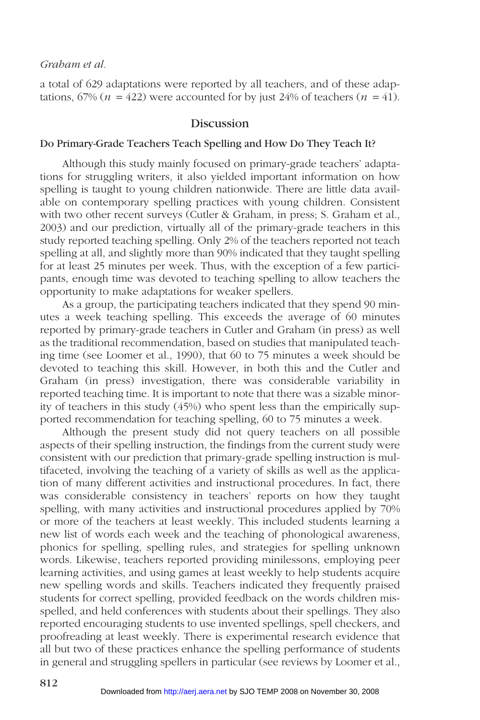a total of 629 adaptations were reported by all teachers, and of these adaptations,  $67\%$  ( $n = 422$ ) were accounted for by just 24% of teachers ( $n = 41$ ).

## Discussion

#### Do Primary-Grade Teachers Teach Spelling and How Do They Teach It?

Although this study mainly focused on primary-grade teachers' adaptations for struggling writers, it also yielded important information on how spelling is taught to young children nationwide. There are little data available on contemporary spelling practices with young children. Consistent with two other recent surveys (Cutler & Graham, in press; S. Graham et al., 2003) and our prediction, virtually all of the primary-grade teachers in this study reported teaching spelling. Only 2% of the teachers reported not teach spelling at all, and slightly more than 90% indicated that they taught spelling for at least 25 minutes per week. Thus, with the exception of a few participants, enough time was devoted to teaching spelling to allow teachers the opportunity to make adaptations for weaker spellers.

As a group, the participating teachers indicated that they spend 90 minutes a week teaching spelling. This exceeds the average of 60 minutes reported by primary-grade teachers in Cutler and Graham (in press) as well as the traditional recommendation, based on studies that manipulated teaching time (see Loomer et al., 1990), that 60 to 75 minutes a week should be devoted to teaching this skill. However, in both this and the Cutler and Graham (in press) investigation, there was considerable variability in reported teaching time. It is important to note that there was a sizable minority of teachers in this study (45%) who spent less than the empirically supported recommendation for teaching spelling, 60 to 75 minutes a week.

Although the present study did not query teachers on all possible aspects of their spelling instruction, the findings from the current study were consistent with our prediction that primary-grade spelling instruction is multifaceted, involving the teaching of a variety of skills as well as the application of many different activities and instructional procedures. In fact, there was considerable consistency in teachers' reports on how they taught spelling, with many activities and instructional procedures applied by 70% or more of the teachers at least weekly. This included students learning a new list of words each week and the teaching of phonological awareness, phonics for spelling, spelling rules, and strategies for spelling unknown words. Likewise, teachers reported providing minilessons, employing peer learning activities, and using games at least weekly to help students acquire new spelling words and skills. Teachers indicated they frequently praised students for correct spelling, provided feedback on the words children misspelled, and held conferences with students about their spellings. They also reported encouraging students to use invented spellings, spell checkers, and proofreading at least weekly. There is experimental research evidence that all but two of these practices enhance the spelling performance of students in general and struggling spellers in particular (see reviews by Loomer et al.,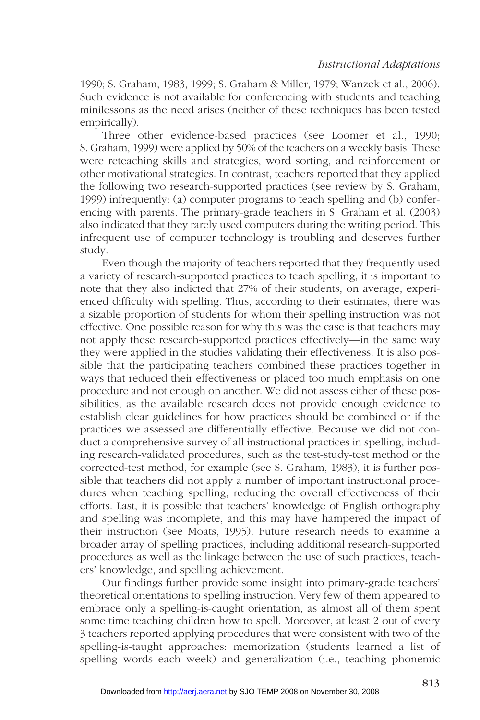1990; S. Graham, 1983, 1999; S. Graham & Miller, 1979; Wanzek et al., 2006). Such evidence is not available for conferencing with students and teaching minilessons as the need arises (neither of these techniques has been tested empirically).

Three other evidence-based practices (see Loomer et al., 1990; S. Graham, 1999) were applied by 50% of the teachers on a weekly basis. These were reteaching skills and strategies, word sorting, and reinforcement or other motivational strategies. In contrast, teachers reported that they applied the following two research-supported practices (see review by S. Graham, 1999) infrequently: (a) computer programs to teach spelling and (b) conferencing with parents. The primary-grade teachers in S. Graham et al. (2003) also indicated that they rarely used computers during the writing period. This infrequent use of computer technology is troubling and deserves further study.

Even though the majority of teachers reported that they frequently used a variety of research-supported practices to teach spelling, it is important to note that they also indicted that 27% of their students, on average, experienced difficulty with spelling. Thus, according to their estimates, there was a sizable proportion of students for whom their spelling instruction was not effective. One possible reason for why this was the case is that teachers may not apply these research-supported practices effectively—in the same way they were applied in the studies validating their effectiveness. It is also possible that the participating teachers combined these practices together in ways that reduced their effectiveness or placed too much emphasis on one procedure and not enough on another. We did not assess either of these possibilities, as the available research does not provide enough evidence to establish clear guidelines for how practices should be combined or if the practices we assessed are differentially effective. Because we did not conduct a comprehensive survey of all instructional practices in spelling, including research-validated procedures, such as the test-study-test method or the corrected-test method, for example (see S. Graham, 1983), it is further possible that teachers did not apply a number of important instructional procedures when teaching spelling, reducing the overall effectiveness of their efforts. Last, it is possible that teachers' knowledge of English orthography and spelling was incomplete, and this may have hampered the impact of their instruction (see Moats, 1995). Future research needs to examine a broader array of spelling practices, including additional research-supported procedures as well as the linkage between the use of such practices, teachers' knowledge, and spelling achievement.

Our findings further provide some insight into primary-grade teachers' theoretical orientations to spelling instruction. Very few of them appeared to embrace only a spelling-is-caught orientation, as almost all of them spent some time teaching children how to spell. Moreover, at least 2 out of every 3 teachers reported applying procedures that were consistent with two of the spelling-is-taught approaches: memorization (students learned a list of spelling words each week) and generalization (i.e., teaching phonemic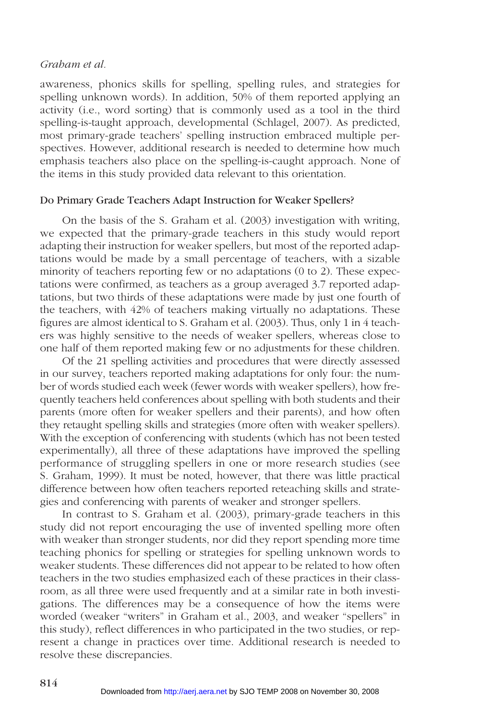awareness, phonics skills for spelling, spelling rules, and strategies for spelling unknown words). In addition, 50% of them reported applying an activity (i.e., word sorting) that is commonly used as a tool in the third spelling-is-taught approach, developmental (Schlagel, 2007). As predicted, most primary-grade teachers' spelling instruction embraced multiple perspectives. However, additional research is needed to determine how much emphasis teachers also place on the spelling-is-caught approach. None of the items in this study provided data relevant to this orientation.

#### Do Primary Grade Teachers Adapt Instruction for Weaker Spellers?

On the basis of the S. Graham et al. (2003) investigation with writing, we expected that the primary-grade teachers in this study would report adapting their instruction for weaker spellers, but most of the reported adaptations would be made by a small percentage of teachers, with a sizable minority of teachers reporting few or no adaptations (0 to 2). These expectations were confirmed, as teachers as a group averaged 3.7 reported adaptations, but two thirds of these adaptations were made by just one fourth of the teachers, with 42% of teachers making virtually no adaptations. These figures are almost identical to S. Graham et al. (2003). Thus, only 1 in 4 teachers was highly sensitive to the needs of weaker spellers, whereas close to one half of them reported making few or no adjustments for these children.

Of the 21 spelling activities and procedures that were directly assessed in our survey, teachers reported making adaptations for only four: the number of words studied each week (fewer words with weaker spellers), how frequently teachers held conferences about spelling with both students and their parents (more often for weaker spellers and their parents), and how often they retaught spelling skills and strategies (more often with weaker spellers). With the exception of conferencing with students (which has not been tested experimentally), all three of these adaptations have improved the spelling performance of struggling spellers in one or more research studies (see S. Graham, 1999). It must be noted, however, that there was little practical difference between how often teachers reported reteaching skills and strategies and conferencing with parents of weaker and stronger spellers.

In contrast to S. Graham et al. (2003), primary-grade teachers in this study did not report encouraging the use of invented spelling more often with weaker than stronger students, nor did they report spending more time teaching phonics for spelling or strategies for spelling unknown words to weaker students. These differences did not appear to be related to how often teachers in the two studies emphasized each of these practices in their classroom, as all three were used frequently and at a similar rate in both investigations. The differences may be a consequence of how the items were worded (weaker "writers" in Graham et al., 2003, and weaker "spellers" in this study), reflect differences in who participated in the two studies, or represent a change in practices over time. Additional research is needed to resolve these discrepancies.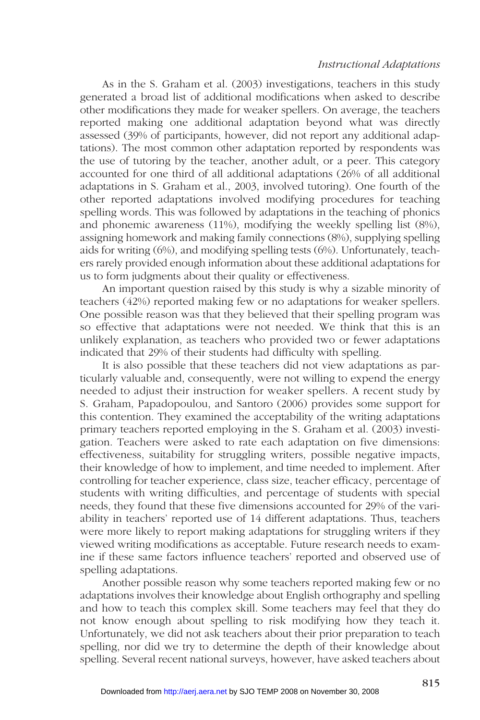As in the S. Graham et al. (2003) investigations, teachers in this study generated a broad list of additional modifications when asked to describe other modifications they made for weaker spellers. On average, the teachers reported making one additional adaptation beyond what was directly assessed (39% of participants, however, did not report any additional adaptations). The most common other adaptation reported by respondents was the use of tutoring by the teacher, another adult, or a peer. This category accounted for one third of all additional adaptations (26% of all additional adaptations in S. Graham et al., 2003, involved tutoring). One fourth of the other reported adaptations involved modifying procedures for teaching spelling words. This was followed by adaptations in the teaching of phonics and phonemic awareness (11%), modifying the weekly spelling list (8%), assigning homework and making family connections (8%), supplying spelling aids for writing (6%), and modifying spelling tests (6%). Unfortunately, teachers rarely provided enough information about these additional adaptations for us to form judgments about their quality or effectiveness.

An important question raised by this study is why a sizable minority of teachers (42%) reported making few or no adaptations for weaker spellers. One possible reason was that they believed that their spelling program was so effective that adaptations were not needed. We think that this is an unlikely explanation, as teachers who provided two or fewer adaptations indicated that 29% of their students had difficulty with spelling.

It is also possible that these teachers did not view adaptations as particularly valuable and, consequently, were not willing to expend the energy needed to adjust their instruction for weaker spellers. A recent study by S. Graham, Papadopoulou, and Santoro (2006) provides some support for this contention. They examined the acceptability of the writing adaptations primary teachers reported employing in the S. Graham et al. (2003) investigation. Teachers were asked to rate each adaptation on five dimensions: effectiveness, suitability for struggling writers, possible negative impacts, their knowledge of how to implement, and time needed to implement. After controlling for teacher experience, class size, teacher efficacy, percentage of students with writing difficulties, and percentage of students with special needs, they found that these five dimensions accounted for 29% of the variability in teachers' reported use of 14 different adaptations. Thus, teachers were more likely to report making adaptations for struggling writers if they viewed writing modifications as acceptable. Future research needs to examine if these same factors influence teachers' reported and observed use of spelling adaptations.

Another possible reason why some teachers reported making few or no adaptations involves their knowledge about English orthography and spelling and how to teach this complex skill. Some teachers may feel that they do not know enough about spelling to risk modifying how they teach it. Unfortunately, we did not ask teachers about their prior preparation to teach spelling, nor did we try to determine the depth of their knowledge about spelling. Several recent national surveys, however, have asked teachers about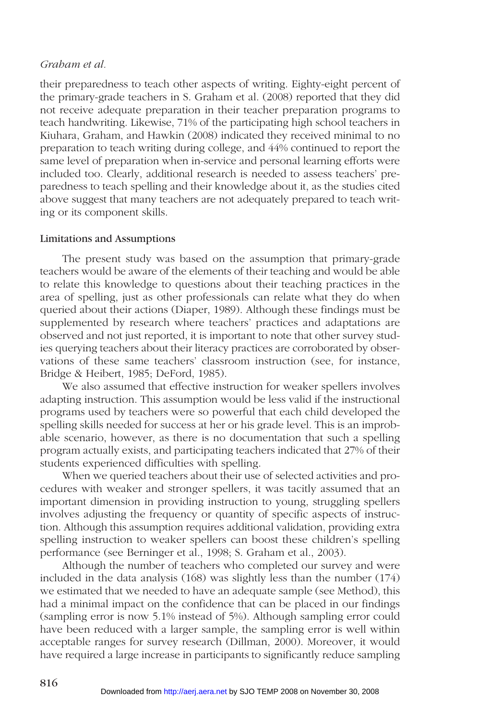their preparedness to teach other aspects of writing. Eighty-eight percent of the primary-grade teachers in S. Graham et al. (2008) reported that they did not receive adequate preparation in their teacher preparation programs to teach handwriting. Likewise, 71% of the participating high school teachers in Kiuhara, Graham, and Hawkin (2008) indicated they received minimal to no preparation to teach writing during college, and 44% continued to report the same level of preparation when in-service and personal learning efforts were included too. Clearly, additional research is needed to assess teachers' preparedness to teach spelling and their knowledge about it, as the studies cited above suggest that many teachers are not adequately prepared to teach writing or its component skills.

#### Limitations and Assumptions

The present study was based on the assumption that primary-grade teachers would be aware of the elements of their teaching and would be able to relate this knowledge to questions about their teaching practices in the area of spelling, just as other professionals can relate what they do when queried about their actions (Diaper, 1989). Although these findings must be supplemented by research where teachers' practices and adaptations are observed and not just reported, it is important to note that other survey studies querying teachers about their literacy practices are corroborated by observations of these same teachers' classroom instruction (see, for instance, Bridge & Heibert, 1985; DeFord, 1985).

We also assumed that effective instruction for weaker spellers involves adapting instruction. This assumption would be less valid if the instructional programs used by teachers were so powerful that each child developed the spelling skills needed for success at her or his grade level. This is an improbable scenario, however, as there is no documentation that such a spelling program actually exists, and participating teachers indicated that 27% of their students experienced difficulties with spelling.

When we queried teachers about their use of selected activities and procedures with weaker and stronger spellers, it was tacitly assumed that an important dimension in providing instruction to young, struggling spellers involves adjusting the frequency or quantity of specific aspects of instruction. Although this assumption requires additional validation, providing extra spelling instruction to weaker spellers can boost these children's spelling performance (see Berninger et al., 1998; S. Graham et al., 2003).

Although the number of teachers who completed our survey and were included in the data analysis (168) was slightly less than the number (174) we estimated that we needed to have an adequate sample (see Method), this had a minimal impact on the confidence that can be placed in our findings (sampling error is now 5.1% instead of 5%). Although sampling error could have been reduced with a larger sample, the sampling error is well within acceptable ranges for survey research (Dillman, 2000). Moreover, it would have required a large increase in participants to significantly reduce sampling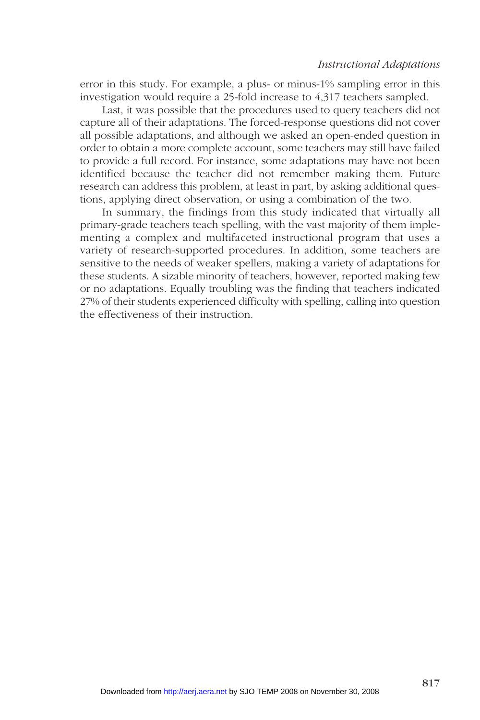error in this study. For example, a plus- or minus-1% sampling error in this investigation would require a 25-fold increase to 4,317 teachers sampled.

Last, it was possible that the procedures used to query teachers did not capture all of their adaptations. The forced-response questions did not cover all possible adaptations, and although we asked an open-ended question in order to obtain a more complete account, some teachers may still have failed to provide a full record. For instance, some adaptations may have not been identified because the teacher did not remember making them. Future research can address this problem, at least in part, by asking additional questions, applying direct observation, or using a combination of the two.

In summary, the findings from this study indicated that virtually all primary-grade teachers teach spelling, with the vast majority of them implementing a complex and multifaceted instructional program that uses a variety of research-supported procedures. In addition, some teachers are sensitive to the needs of weaker spellers, making a variety of adaptations for these students. A sizable minority of teachers, however, reported making few or no adaptations. Equally troubling was the finding that teachers indicated 27% of their students experienced difficulty with spelling, calling into question the effectiveness of their instruction.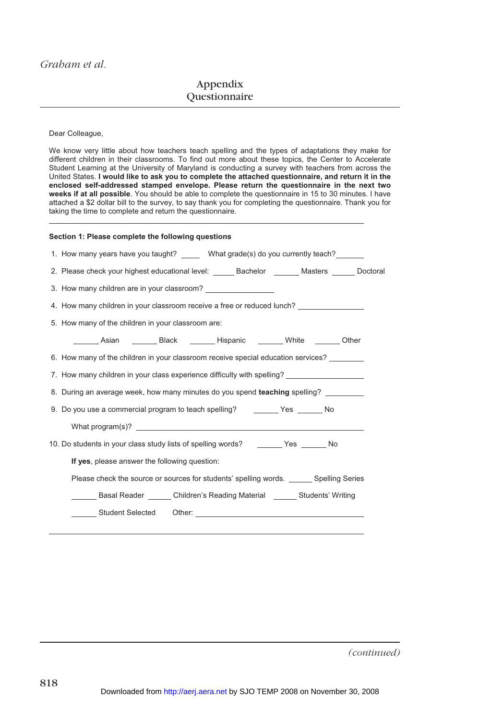#### Dear Colleague,

l

We know very little about how teachers teach spelling and the types of adaptations they make for different children in their classrooms. To find out more about these topics, the Center to Accelerate Student Learning at the University of Maryland is conducting a survey with teachers from across the United States. **I would like to ask you to complete the attached questionnaire, and return it in the enclosed self-addressed stamped envelope. Please return the questionnaire in the next two weeks if at all possible**. You should be able to complete the questionnaire in 15 to 30 minutes. I have attached a \$2 dollar bill to the survey, to say thank you for completing the questionnaire. Thank you for taking the time to complete and return the questionnaire.

#### **Section 1: Please complete the following questions**

| 1. How many years have you taught? What grade(s) do you currently teach?                         |
|--------------------------------------------------------------------------------------------------|
| 2. Please check your highest educational level: _______ Bachelor _______ Masters ______ Doctoral |
|                                                                                                  |
| 4. How many children in your classroom receive a free or reduced lunch? ______________           |
| 5. How many of the children in your classroom are:                                               |
| _______ Asian ________ Black ________ Hispanic _______ White _______ Other                       |
| 6. How many of the children in your classroom receive special education services?                |
| 7. How many children in your class experience difficulty with spelling? _______________          |
| 8. During an average week, how many minutes do you spend teaching spelling?                      |
| 9. Do you use a commercial program to teach spelling? _________ Yes _______ No                   |
|                                                                                                  |
| 10. Do students in your class study lists of spelling words? ________ Yes _______ No             |
| If yes, please answer the following question:                                                    |
| Please check the source or sources for students' spelling words. _______ Spelling Series         |
| _______ Basal Reader _______ Children's Reading Material ______ Students' Writing                |
|                                                                                                  |
|                                                                                                  |

*(continued)*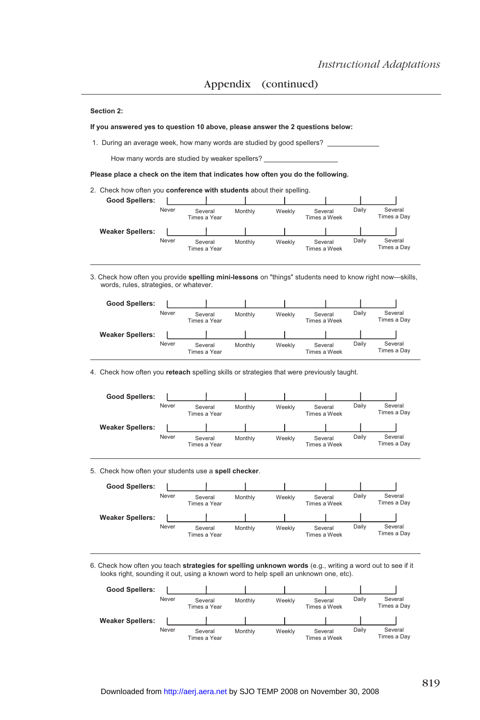#### Appendix (continued)

#### **Section 2:**

 $\overline{a}$ 

 $\overline{a}$ 

 $\overline{a}$ 

 $\overline{a}$ 

#### **If you answered yes to question 10 above, please answer the 2 questions below:**

1. During an average week, how many words are studied by good spellers?

How many words are studied by weaker spellers?

**Please place a check on the item that indicates how often you do the following.** 

2. Check how often you **conference with students** about their spelling.

| <b>Good Spellers:</b>   |       |                         |         |        |                         |       |                        |
|-------------------------|-------|-------------------------|---------|--------|-------------------------|-------|------------------------|
|                         | Never | Several<br>Times a Year | Monthly | Weekly | Several<br>Times a Week | Daily | Several<br>Times a Day |
| <b>Weaker Spellers:</b> |       |                         |         |        |                         |       |                        |
|                         | Never | Several<br>Times a Year | Monthly | Weekly | Several<br>Times a Week | Daily | Several<br>Times a Day |

3. Check how often you provide **spelling mini-lessons** on "things" students need to know right now—skills, words, rules, strategies, or whatever.

| <b>Good Spellers:</b>   |       |                         |         |        |                         |       |                        |
|-------------------------|-------|-------------------------|---------|--------|-------------------------|-------|------------------------|
|                         | Never | Several<br>Times a Year | Monthly | Weekly | Several<br>Times a Week | Daily | Several<br>Times a Day |
| <b>Weaker Spellers:</b> |       |                         |         |        |                         |       |                        |
|                         | Never | Several<br>Times a Year | Monthly | Weekly | Several<br>Times a Week | Daily | Several<br>Times a Dav |

4. Check how often you **reteach** spelling skills or strategies that were previously taught.

| <b>Good Spellers:</b>   |       |                         |         |        |                         |       |                        |
|-------------------------|-------|-------------------------|---------|--------|-------------------------|-------|------------------------|
|                         | Never | Several<br>Times a Year | Monthly | Weekly | Several<br>Times a Week | Daily | Several<br>Times a Day |
| <b>Weaker Spellers:</b> |       |                         |         |        |                         |       |                        |
|                         | Never | Several<br>Times a Year | Monthly | Weekly | Several<br>Times a Week | Daily | Several<br>Times a Day |

5. Check how often your students use a **spell checker**.

| <b>Good Spellers:</b>   |       |                         |         |        |                         |       |                        |
|-------------------------|-------|-------------------------|---------|--------|-------------------------|-------|------------------------|
|                         | Never | Several<br>Times a Year | Monthly | Weekly | Several<br>Times a Week | Daily | Several<br>Times a Day |
| <b>Weaker Spellers:</b> |       |                         |         |        |                         |       |                        |
|                         | Never | Several<br>Times a Year | Monthly | Weekly | Several<br>Times a Week | Daily | Several<br>Times a Day |

6. Check how often you teach **strategies for spelling unknown words** (e.g., writing a word out to see if it looks right, sounding it out, using a known word to help spell an unknown one, etc).

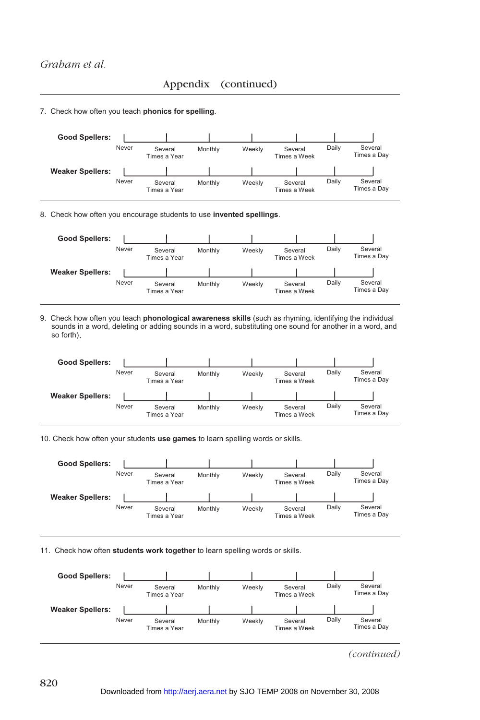#### Appendix (continued) 7. Check how often you teach **phonics for spelling**. **Good Spellers:** Never Several Daily Several<br>nes a Week Times a Day Several Several Monthly Weekly Times a Year Times a Week **Weaker Spellers:** I Several Daily Several<br>nes a Week Times a Day Several Never Several Monthly Weekly Times a Year Times a Week  $\overline{a}$ 8. Check how often you encourage students to use **invented spellings**. **Good Spellers:** Never Several Monthly Weekly Several Daily Several<br>
nes a Week Times a Day Several Times a Year Times a Week **Weaker Spellers:** Never Several<br>Times a Dav Several Monthly Weekly Times a Day Several Daily Times a Week Times a Year  $\overline{a}$ 9. Check how often you teach **phonological awareness skills** (such as rhyming, identifying the individual sounds in a word, deleting or adding sounds in a word, substituting one sound for another in a word, and so forth). **Good Spellers:** Several Daily Several<br>nes a Week Times a Day Several Never Several Monthly Weekly Times a Year Times a Week **Weaker Spellers:** Never Several<br>Times a Day Several Monthly Weekly Times a Day Several Daily Times a Week Times a Year  $\overline{a}$ 10. Check how often your students **use games** to learn spelling words or skills. **Good Spellers: Never Several** Several Monthly Weekly Several Daily Several<br>nes a Week Times a Day Times a Year Times a Week **Weaker Spellers:** Several<br>Times a Day Never Several Monthly Weekly Times a Day Several Daily Times a Week Times a Year l 11. Check how often **students work together** to learn spelling words or skills. **Good Spellers:** Never Several



*<sup>(</sup>continued)*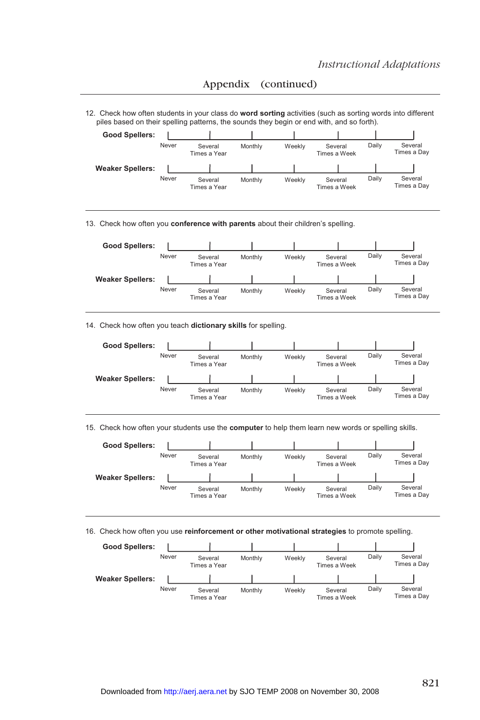| <b>Good Spellers:</b>                                                                               |       |                         |         |        |                                |       |                        |
|-----------------------------------------------------------------------------------------------------|-------|-------------------------|---------|--------|--------------------------------|-------|------------------------|
|                                                                                                     | Never | Several<br>Times a Year | Monthly | Weekly | Several<br>Times a Week        | Daily | Several<br>Times a Day |
| <b>Weaker Spellers:</b>                                                                             |       |                         |         |        |                                |       |                        |
|                                                                                                     | Never | Several<br>Times a Year | Monthly | Weekly | Several<br><b>Times a Week</b> | Daily | Several<br>Times a Day |
| 13. Check how often you conference with parents about their children's spelling.                    |       |                         |         |        |                                |       |                        |
| <b>Good Spellers:</b>                                                                               |       |                         |         |        |                                |       |                        |
|                                                                                                     | Never | Several<br>Times a Year | Monthly | Weekly | Several<br><b>Times a Week</b> | Daily | Several<br>Times a Day |
| <b>Weaker Spellers:</b>                                                                             |       |                         |         |        |                                |       |                        |
|                                                                                                     | Never | Several<br>Times a Year | Monthly | Weekly | Several<br>Times a Week        | Daily | Several<br>Times a Day |
| 14. Check how often you teach dictionary skills for spelling.                                       |       |                         |         |        |                                |       |                        |
| <b>Good Spellers:</b>                                                                               |       |                         |         |        |                                |       |                        |
|                                                                                                     | Never | Several<br>Times a Year | Monthly | Weekly | Several<br><b>Times a Week</b> | Daily | Several<br>Times a Day |
| <b>Weaker Spellers:</b>                                                                             |       |                         |         |        |                                |       |                        |
|                                                                                                     | Never | Several<br>Times a Year | Monthly | Weekly | Several<br><b>Times a Week</b> | Daily | Several<br>Times a Day |
| 15. Check how often your students use the computer to help them learn new words or spelling skills. |       |                         |         |        |                                |       |                        |
| <b>Good Spellers:</b>                                                                               |       |                         |         |        |                                |       |                        |
|                                                                                                     |       |                         |         |        |                                |       |                        |

#### Appendix (continued)

16. Check how often you use **reinforcement or other motivational strategies** to promote spelling.

Several Monthly Weekly

 $\overline{\phantom{a}}$ 

 $\overline{\phantom{a}}$ 

Times a Year

Never

 $\overline{1}$ 

**Weaker Spellers:**

 $\overline{\phantom{0}}$ 



Several

Several Daily Several<br>
nes a Week Times a Day

ı

Times a Week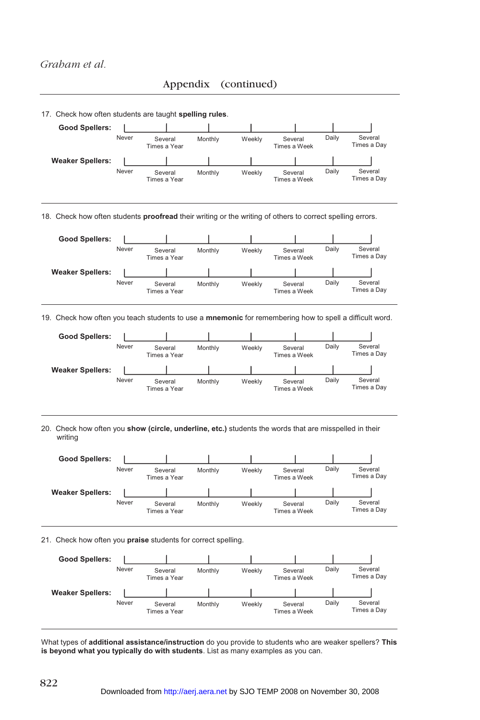|                                                                                                                   |       | Appendix                |         | (continued) |                         |       |                        |
|-------------------------------------------------------------------------------------------------------------------|-------|-------------------------|---------|-------------|-------------------------|-------|------------------------|
| 17. Check how often students are taught spelling rules.                                                           |       |                         |         |             |                         |       |                        |
|                                                                                                                   |       |                         |         |             |                         |       |                        |
| <b>Good Spellers:</b>                                                                                             | Never | Several<br>Times a Year | Monthly | Weekly      | Several<br>Times a Week | Daily | Several<br>Times a Day |
| <b>Weaker Spellers:</b>                                                                                           |       |                         |         |             |                         |       |                        |
|                                                                                                                   | Never | Several<br>Times a Year | Monthly | Weekly      | Several<br>Times a Week | Daily | Several<br>Times a Day |
| 18. Check how often students proofread their writing or the writing of others to correct spelling errors.         |       |                         |         |             |                         |       |                        |
| <b>Good Spellers:</b>                                                                                             |       |                         |         |             |                         |       |                        |
|                                                                                                                   | Never | Several<br>Times a Year | Monthly | Weekly      | Several<br>Times a Week | Daily | Several<br>Times a Day |
| <b>Weaker Spellers:</b>                                                                                           |       |                         |         |             |                         |       |                        |
|                                                                                                                   | Never | Several<br>Times a Year | Monthly | Weekly      | Several<br>Times a Week | Daily | Several<br>Times a Day |
| 19. Check how often you teach students to use a mnemonic for remembering how to spell a difficult word.           |       |                         |         |             |                         |       |                        |
| <b>Good Spellers:</b>                                                                                             |       |                         |         |             |                         |       |                        |
|                                                                                                                   | Never | Several<br>Times a Year | Monthly | Weekly      | Several<br>Times a Week | Daily | Several<br>Times a Day |
| <b>Weaker Spellers:</b>                                                                                           |       |                         |         |             |                         |       |                        |
|                                                                                                                   | Never | Several<br>Times a Year | Monthly | Weekly      | Several<br>Times a Week | Daily | Several<br>Times a Day |
| 20. Check how often you show (circle, underline, etc.) students the words that are misspelled in their<br>writing |       |                         |         |             |                         |       |                        |
| <b>Good Spellers:</b>                                                                                             |       |                         |         |             |                         |       |                        |
|                                                                                                                   | Never | Several<br>Times a Year | Monthly | Weekly      | Several<br>Times a Week | Daily | Several<br>Times a Day |
| <b>Weaker Spellers:</b>                                                                                           |       |                         |         |             |                         |       |                        |
|                                                                                                                   | Never | Several<br>Times a Year | Monthly | Weekly      | Several<br>Times a Week | Daily | Several<br>Times a Day |
| 21. Check how often you praise students for correct spelling.                                                     |       |                         |         |             |                         |       |                        |
| <b>Good Spellers:</b>                                                                                             |       |                         |         |             |                         |       |                        |
|                                                                                                                   | Never | Several<br>Times a Year | Monthly | Weekly      | Several<br>Times a Week | Daily | Several<br>Times a Day |
| <b>Weaker Spellers:</b>                                                                                           | Never | Several                 | Monthly | Weekly      | Several                 | Daily | Several                |
|                                                                                                                   |       | Times a Year            |         |             | Times a Week            |       | Times a Day            |

 What types of **additional assistance/instruction** do you provide to students who are weaker spellers? **This is beyond what you typically do with students**. List as many examples as you can.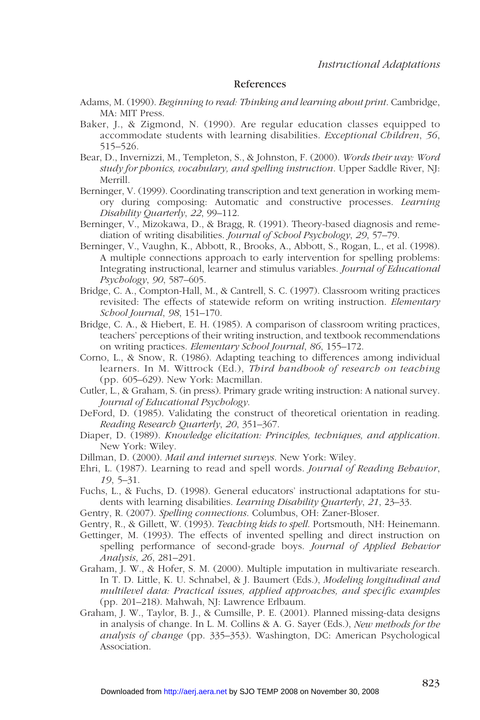#### References

- Adams, M. (1990). *Beginning to read: Thinking and learning about print*. Cambridge, MA: MIT Press.
- Baker, J., & Zigmond, N. (1990). Are regular education classes equipped to accommodate students with learning disabilities. *Exceptional Children*, *56*, 515–526.
- Bear, D., Invernizzi, M., Templeton, S., & Johnston, F. (2000). *Words their way: Word study for phonics, vocabulary, and spelling instruction*. Upper Saddle River, NJ: Merrill.
- Berninger, V. (1999). Coordinating transcription and text generation in working memory during composing: Automatic and constructive processes. *Learning Disability Quarterly*, *22*, 99–112.
- Berninger, V., Mizokawa, D., & Bragg, R. (1991). Theory-based diagnosis and remediation of writing disabilities. *Journal of School Psychology*, *29*, 57–79.
- Berninger, V., Vaughn, K., Abbott, R., Brooks, A., Abbott, S., Rogan, L., et al. (1998). A multiple connections approach to early intervention for spelling problems: Integrating instructional, learner and stimulus variables. *Journal of Educational Psychology*, *90*, 587–605.
- Bridge, C. A., Compton-Hall, M., & Cantrell, S. C. (1997). Classroom writing practices revisited: The effects of statewide reform on writing instruction. *Elementary School Journal*, *98*, 151–170.
- Bridge, C. A., & Hiebert, E. H. (1985). A comparison of classroom writing practices, teachers' perceptions of their writing instruction, and textbook recommendations on writing practices. *Elementary School Journal*, *86*, 155–172.
- Corno, L., & Snow, R. (1986). Adapting teaching to differences among individual learners. In M. Wittrock (Ed.), *Third handbook of research on teaching* (pp. 605–629). New York: Macmillan.
- Cutler, L., & Graham, S. (in press). Primary grade writing instruction: A national survey. *Journal of Educational Psychology*.
- DeFord, D. (1985). Validating the construct of theoretical orientation in reading. *Reading Research Quarterly*, *20*, 351–367.
- Diaper, D. (1989). *Knowledge elicitation: Principles, techniques, and application*. New York: Wiley.
- Dillman, D. (2000). *Mail and internet surveys*. New York: Wiley.
- Ehri, L. (1987). Learning to read and spell words. *Journal of Reading Behavior*, *19*, 5–31.
- Fuchs, L., & Fuchs, D. (1998). General educators' instructional adaptations for students with learning disabilities. *Learning Disability Quarterly*, *21*, 23–33.
- Gentry, R. (2007). *Spelling connections*. Columbus, OH: Zaner-Bloser.
- Gentry, R., & Gillett, W. (1993). *Teaching kids to spell*. Portsmouth, NH: Heinemann.
- Gettinger, M. (1993). The effects of invented spelling and direct instruction on spelling performance of second-grade boys. *Journal of Applied Behavior Analysis*, *26*, 281–291.
- Graham, J. W., & Hofer, S. M. (2000). Multiple imputation in multivariate research. In T. D. Little, K. U. Schnabel, & J. Baumert (Eds.), *Modeling longitudinal and multilevel data: Practical issues, applied approaches, and specific examples* (pp. 201–218). Mahwah, NJ: Lawrence Erlbaum.
- Graham, J. W., Taylor, B. J., & Cumsille, P. E. (2001). Planned missing-data designs in analysis of change. In L. M. Collins & A. G. Sayer (Eds.), *New methods for the analysis of change* (pp. 335–353). Washington, DC: American Psychological Association.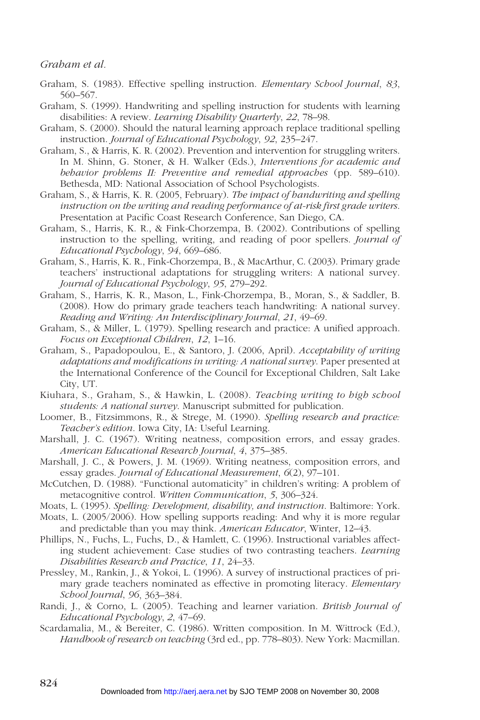- Graham, S. (1983). Effective spelling instruction. *Elementary School Journal*, *83*, 560–567.
- Graham, S. (1999). Handwriting and spelling instruction for students with learning disabilities: A review. *Learning Disability Quarterly*, *22*, 78–98.
- Graham, S. (2000). Should the natural learning approach replace traditional spelling instruction. *Journal of Educational Psychology*, *92*, 235–247.
- Graham, S., & Harris, K. R. (2002). Prevention and intervention for struggling writers. In M. Shinn, G. Stoner, & H. Walker (Eds.), *Interventions for academic and behavior problems II: Preventive and remedial approaches* (pp. 589–610). Bethesda, MD: National Association of School Psychologists.
- Graham, S., & Harris, K. R. (2005, February). *The impact of handwriting and spelling instruction on the writing and reading performance of at-risk first grade writers*. Presentation at Pacific Coast Research Conference, San Diego, CA.
- Graham, S., Harris, K. R., & Fink-Chorzempa, B. (2002). Contributions of spelling instruction to the spelling, writing, and reading of poor spellers. *Journal of Educational Psychology*, *94*, 669–686.
- Graham, S., Harris, K. R., Fink-Chorzempa, B., & MacArthur, C. (2003). Primary grade teachers' instructional adaptations for struggling writers: A national survey. *Journal of Educational Psychology*, *95*, 279–292.
- Graham, S., Harris, K. R., Mason, L., Fink-Chorzempa, B., Moran, S., & Saddler, B. (2008). How do primary grade teachers teach handwriting: A national survey. *Reading and Writing: An Interdisciplinary Journal*, *21*, 49–69.
- Graham, S., & Miller, L. (1979). Spelling research and practice: A unified approach. *Focus on Exceptional Children*, *12*, 1–16.
- Graham, S., Papadopoulou, E., & Santoro, J. (2006, April). *Acceptability of writing adaptations and modifications in writing: A national survey*. Paper presented at the International Conference of the Council for Exceptional Children, Salt Lake City, UT.
- Kiuhara, S., Graham, S., & Hawkin, L. (2008). *Teaching writing to high school students: A national survey*. Manuscript submitted for publication.
- Loomer, B., Fitzsimmons, R., & Strege, M. (1990). *Spelling research and practice: Teacher's edition*. Iowa City, IA: Useful Learning.
- Marshall, J. C. (1967). Writing neatness, composition errors, and essay grades. *American Educational Research Journal*, *4*, 375–385.
- Marshall, J. C., & Powers, J. M. (1969). Writing neatness, composition errors, and essay grades. *Journal of Educational Measurement*, *6*(2), 97–101.
- McCutchen, D. (1988). "Functional automaticity" in children's writing: A problem of metacognitive control. *Written Communication*, *5*, 306–324.
- Moats, L. (1995). *Spelling: Development, disability, and instruction*. Baltimore: York.
- Moats, L. (2005/2006). How spelling supports reading: And why it is more regular and predictable than you may think. *American Educator*, Winter, 12–43.
- Phillips, N., Fuchs, L., Fuchs, D., & Hamlett, C. (1996). Instructional variables affecting student achievement: Case studies of two contrasting teachers. *Learning Disabilities Research and Practice*, *11*, 24–33.
- Pressley, M., Rankin, J., & Yokoi, L. (1996). A survey of instructional practices of primary grade teachers nominated as effective in promoting literacy. *Elementary School Journal*, *96*, 363–384.
- Randi, J., & Corno, L. (2005). Teaching and learner variation. *British Journal of Educational Psychology*, *2*, 47–69.
- Scardamalia, M., & Bereiter, C. (1986). Written composition. In M. Wittrock (Ed.), *Handbook of research on teaching* (3rd ed., pp. 778–803). New York: Macmillan.